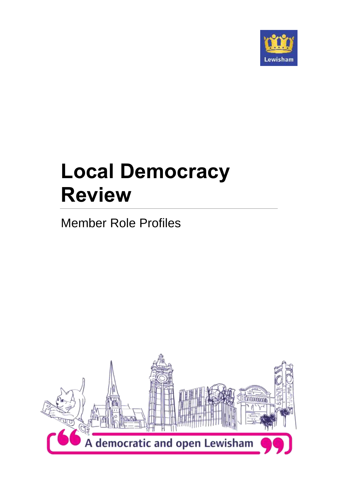

# **Local Democracy Review**

Member Role Profiles

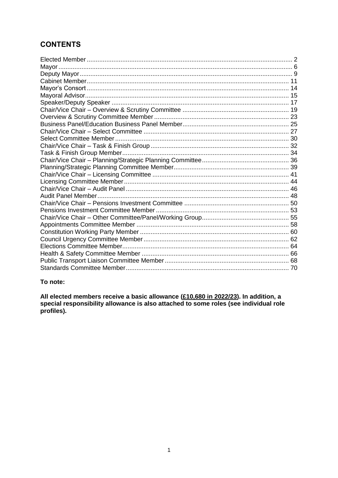# **CONTENTS**

# To note:

All elected members receive a basic allowance (£10,680 in 2022/23). In addition, a special responsibility allowance is also attached to some roles (see individual role profiles).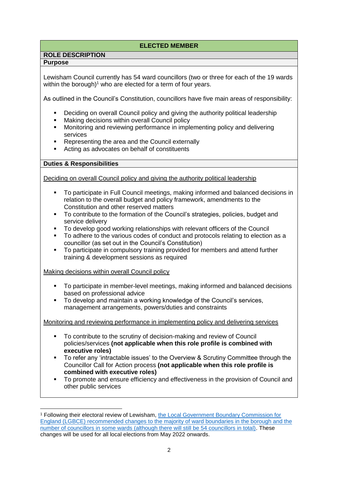# **ELECTED MEMBER**

#### <span id="page-2-0"></span>**ROLE DESCRIPTION Purpose**

Lewisham Council currently has 54 ward councillors (two or three for each of the 19 wards within the borough)<sup>1</sup> who are elected for a term of four years.

As outlined in the Council's Constitution, councillors have five main areas of responsibility:

- Deciding on overall Council policy and giving the authority political leadership
- Making decisions within overall Council policy
- Monitoring and reviewing performance in implementing policy and delivering services
- Representing the area and the Council externally
- Acting as advocates on behalf of constituents

# **Duties & Responsibilities**

Deciding on overall Council policy and giving the authority political leadership

- To participate in Full Council meetings, making informed and balanced decisions in relation to the overall budget and policy framework, amendments to the Constitution and other reserved matters
- To contribute to the formation of the Council's strategies, policies, budget and service delivery
- To develop good working relationships with relevant officers of the Council
- To adhere to the various codes of conduct and protocols relating to election as a councillor (as set out in the Council's Constitution)
- To participate in compulsory training provided for members and attend further training & development sessions as required

Making decisions within overall Council policy

- To participate in member-level meetings, making informed and balanced decisions based on professional advice
- To develop and maintain a working knowledge of the Council's services, management arrangements, powers/duties and constraints

Monitoring and reviewing performance in implementing policy and delivering services

- To contribute to the scrutiny of decision-making and review of Council policies/services **(not applicable when this role profile is combined with executive roles)**
- To refer any 'intractable issues' to the Overview & Scrutiny Committee through the Councillor Call for Action process **(not applicable when this role profile is combined with executive roles)**
- To promote and ensure efficiency and effectiveness in the provision of Council and other public services

<sup>&</sup>lt;sup>1</sup> Following their electoral review of Lewisham, the Local Government Boundary Commission for [England \(LGBCE\) recommended changes to the majority of ward boundaries in the borough and the](https://www.lgbce.org.uk/all-reviews/greater-london/greater-london/lewisham)  [number of councillors in some wards \(although there will still be 54 councillors in total\).](https://www.lgbce.org.uk/all-reviews/greater-london/greater-london/lewisham) These changes will be used for all local elections from May 2022 onwards.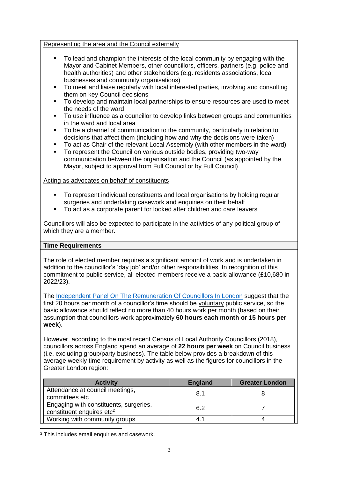Representing the area and the Council externally

- To lead and champion the interests of the local community by engaging with the Mayor and Cabinet Members, other councillors, officers, partners (e.g. police and health authorities) and other stakeholders (e.g. residents associations, local businesses and community organisations)
- To meet and liaise regularly with local interested parties, involving and consulting them on key Council decisions
- To develop and maintain local partnerships to ensure resources are used to meet the needs of the ward
- To use influence as a councillor to develop links between groups and communities in the ward and local area
- To be a channel of communication to the community, particularly in relation to decisions that affect them (including how and why the decisions were taken)
- To act as Chair of the relevant Local Assembly (with other members in the ward)
- To represent the Council on various outside bodies, providing two-way communication between the organisation and the Council (as appointed by the Mayor, subject to approval from Full Council or by Full Council)

Acting as advocates on behalf of constituents

- To represent individual constituents and local organisations by holding regular surgeries and undertaking casework and enquiries on their behalf
- To act as a corporate parent for looked after children and care leavers

Councillors will also be expected to participate in the activities of any political group of which they are a member.

#### **Time Requirements**

The role of elected member requires a significant amount of work and is undertaken in addition to the councillor's 'day job' and/or other responsibilities. In recognition of this commitment to public service, all elected members receive a basic allowance (£10,680 in 2022/23).

The [Independent Panel On The Remuneration Of Councillors In London](https://www.londoncouncils.gov.uk/node/3760) suggest that the first 20 hours per month of a councillor's time should be voluntary public service, so the basic allowance should reflect no more than 40 hours work per month (based on their assumption that councillors work approximately **60 hours each month or 15 hours per week**).

However, according to the most recent Census of Local Authority Councillors (2018), councillors across England spend an average of **22 hours per week** on Council business (i.e. excluding group/party business). The table below provides a breakdown of this average weekly time requirement by activity as well as the figures for councillors in the Greater London region:

| <b>Activity</b>                                                                 | <b>England</b> | <b>Greater London</b> |
|---------------------------------------------------------------------------------|----------------|-----------------------|
| Attendance at council meetings,<br>committees etc                               | 8.1            |                       |
| Engaging with constituents, surgeries,<br>constituent enquires etc <sup>2</sup> | 6.2            |                       |
| Working with community groups                                                   | 4.1            |                       |

<sup>2</sup> This includes email enquiries and casework.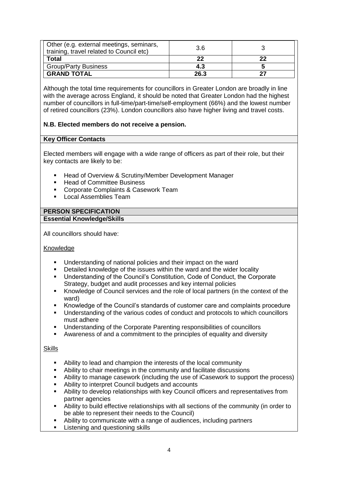| Other (e.g. external meetings, seminars,<br>training, travel related to Council etc) | 3.6  |    |
|--------------------------------------------------------------------------------------|------|----|
| Total                                                                                | 22   | າາ |
| <b>Group/Party Business</b>                                                          | 4.3  |    |
| <b>GRAND TOTAL</b>                                                                   | 26.3 |    |

Although the total time requirements for councillors in Greater London are broadly in line with the average across England, it should be noted that Greater London had the highest number of councillors in full-time/part-time/self-employment (66%) and the lowest number of retired councillors (23%). London councillors also have higher living and travel costs.

# **N.B. Elected members do not receive a pension.**

# **Key Officer Contacts**

Elected members will engage with a wide range of officers as part of their role, but their key contacts are likely to be:

- Head of Overview & Scrutiny/Member Development Manager
- Head of Committee Business
- Corporate Complaints & Casework Team
- Local Assemblies Team

#### **PERSON SPECIFICATION Essential Knowledge/Skills**

All councillors should have:

#### Knowledge

- Understanding of national policies and their impact on the ward
- Detailed knowledge of the issues within the ward and the wider locality
- Understanding of the Council's Constitution, Code of Conduct, the Corporate Strategy, budget and audit processes and key internal policies
- Knowledge of Council services and the role of local partners (in the context of the ward)
- Knowledge of the Council's standards of customer care and complaints procedure
- Understanding of the various codes of conduct and protocols to which councillors must adhere
- Understanding of the Corporate Parenting responsibilities of councillors
- Awareness of and a commitment to the principles of equality and diversity

#### Skills

- Ability to lead and champion the interests of the local community
- Ability to chair meetings in the community and facilitate discussions
- Ability to manage casework (including the use of iCasework to support the process)
- Ability to interpret Council budgets and accounts
- Ability to develop relationships with key Council officers and representatives from partner agencies
- Ability to build effective relationships with all sections of the community (in order to be able to represent their needs to the Council)
- Ability to communicate with a range of audiences, including partners
- Listening and questioning skills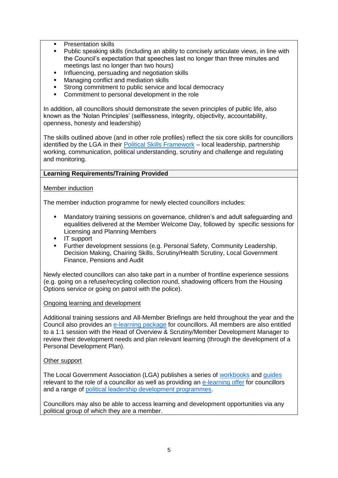- Presentation skills
- Public speaking skills (including an ability to concisely articulate views, in line with the Council's expectation that speeches last no longer than three minutes and meetings last no longer than two hours)
- Influencing, persuading and negotiation skills
- Managing conflict and mediation skills
- **Strong commitment to public service and local democracy**
- Commitment to personal development in the role

In addition, all councillors should demonstrate the seven principles of public life, also known as the 'Nolan Principles' (selflessness, integrity, objectivity, accountability, openness, honesty and leadership)

The skills outlined above (and in other role profiles) reflect the six core skills for councillors identified by the LGA in their [Political Skills Framework](https://www.local.gov.uk/sites/default/files/documents/read-revised-version-poli-243.pdf) – local leadership, partnership working, communication, political understanding, scrutiny and challenge and regulating and monitoring.

#### **Learning Requirements/Training Provided**

#### **Member induction**

The member induction programme for newly elected councillors includes:

- Mandatory training sessions on governance, children's and adult safeguarding and equalities delivered at the Member Welcome Day, followed by specific sessions for Licensing and Planning Members
- **IT** support
- Further development sessions (e.g. Personal Safety, Community Leadership, Decision Making, Chairing Skills, Scrutiny/Health Scrutiny, Local Government Finance, Pensions and Audit

Newly elected councillors can also take part in a number of frontline experience sessions (e.g. going on a refuse/recycling collection round, shadowing officers from the Housing Options service or going on patrol with the police).

#### Ongoing learning and development

Additional training sessions and All-Member Briefings are held throughout the year and the Council also provides an [e-learning package](http://lewisham.learningpool.com/) for councillors. All members are also entitled to a 1:1 session with the Head of Overview & Scrutiny/Member Development Manager to review their development needs and plan relevant learning (through the development of a Personal Development Plan).

#### Other support

The Local Government Association (LGA) publishes a series of [workbooks](https://www.local.gov.uk/our-support/highlighting-political-leadership/community-leadership/councillor-workbooks) and [guides](https://lewishamcouncil.sharepoint.com/:b:/r/sites/MembersInfo/Shared%20Documents/LGA%20Guide%2018-19.pdf?csf=1) relevant to the role of a councillor as well as providing an [e-learning offer](http://lms.learningnexus.co.uk/LGA/) for councillors and a range of [political leadership development programmes.](https://www.local.gov.uk/highlighting-political-leadership-lga-development-offer)

Councillors may also be able to access learning and development opportunities via any political group of which they are a member.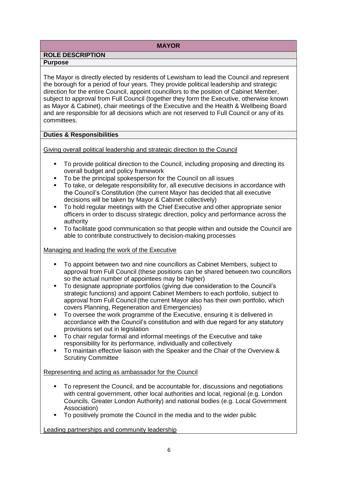# **MAYOR**

# <span id="page-6-0"></span>**ROLE DESCRIPTION Purpose**

The Mayor is directly elected by residents of Lewisham to lead the Council and represent the borough for a period of four years. They provide political leadership and strategic direction for the entire Council, appoint councillors to the position of Cabinet Member, subject to approval from Full Council (together they form the Executive, otherwise known as Mayor & Cabinet), chair meetings of the Executive and the Health & Wellbeing Board and are responsible for all decisions which are not reserved to Full Council or any of its committees.

# **Duties & Responsibilities**

Giving overall political leadership and strategic direction to the Council

- To provide political direction to the Council, including proposing and directing its overall budget and policy framework
- To be the principal spokesperson for the Council on all issues
- To take, or delegate responsibility for, all executive decisions in accordance with the Council's Constitution (the current Mayor has decided that all executive decisions will be taken by Mayor & Cabinet collectively)
- To hold regular meetings with the Chief Executive and other appropriate senior officers in order to discuss strategic direction, policy and performance across the authority
- To facilitate good communication so that people within and outside the Council are able to contribute constructively to decision-making processes

#### Managing and leading the work of the Executive

- To appoint between two and nine councillors as Cabinet Members, subject to approval from Full Council (these positions can be shared between two councillors so the actual number of appointees may be higher)
- To designate appropriate portfolios (giving due consideration to the Council's strategic functions) and appoint Cabinet Members to each portfolio, subject to approval from Full Council (the current Mayor also has their own portfolio, which covers Planning, Regeneration and Emergencies)
- To oversee the work programme of the Executive, ensuring it is delivered in accordance with the Council's constitution and with due regard for any statutory provisions set out in legislation
- To chair regular formal and informal meetings of the Executive and take responsibility for its performance, individually and collectively
- To maintain effective liaison with the Speaker and the Chair of the Overview & Scrutiny Committee

Representing and acting as ambassador for the Council

- To represent the Council, and be accountable for, discussions and negotiations with central government, other local authorities and local, regional (e.g. London Councils, Greater London Authority) and national bodies (e.g. Local Government Association)
- To positively promote the Council in the media and to the wider public

Leading partnerships and community leadership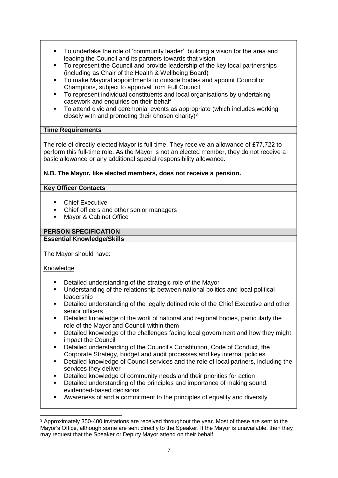- To undertake the role of 'community leader', building a vision for the area and leading the Council and its partners towards that vision
- To represent the Council and provide leadership of the key local partnerships (including as Chair of the Health & Wellbeing Board)
- To make Mayoral appointments to outside bodies and appoint Councillor Champions, subject to approval from Full Council
- To represent individual constituents and local organisations by undertaking casework and enquiries on their behalf
- To attend civic and ceremonial events as appropriate (which includes working closely with and promoting their chosen charity) $3$

#### **Time Requirements**

The role of directly-elected Mayor is full-time. They receive an allowance of £77,722 to perform this full-time role. As the Mayor is not an elected member, they do not receive a basic allowance or any additional special responsibility allowance.

# **N.B. The Mayor, like elected members, does not receive a pension.**

# **Key Officer Contacts**

- Chief Executive
- Chief officers and other senior managers
- Mayor & Cabinet Office

# **PERSON SPECIFICATION**

# **Essential Knowledge/Skills**

The Mayor should have:

#### Knowledge

 $\overline{a}$ 

- Detailed understanding of the strategic role of the Mayor
- Understanding of the relationship between national politics and local political leadership
- Detailed understanding of the legally defined role of the Chief Executive and other senior officers
- Detailed knowledge of the work of national and regional bodies, particularly the role of the Mayor and Council within them
- Detailed knowledge of the challenges facing local government and how they might impact the Council
- Detailed understanding of the Council's Constitution, Code of Conduct, the Corporate Strategy, budget and audit processes and key internal policies
- Detailed knowledge of Council services and the role of local partners, including the services they deliver
- Detailed knowledge of community needs and their priorities for action<br>
Detailed understanding of the principles and importance of making sort
- Detailed understanding of the principles and importance of making sound, evidenced-based decisions
- Awareness of and a commitment to the principles of equality and diversity

<sup>3</sup> Approximately 350-400 invitations are received throughout the year. Most of these are sent to the Mayor's Office, although some are sent directly to the Speaker. If the Mayor is unavailable, then they may request that the Speaker or Deputy Mayor attend on their behalf.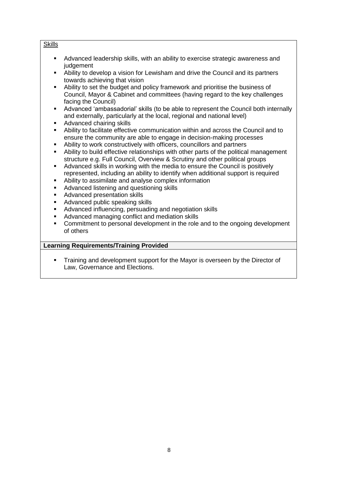| <b>Skills</b> |                                                                                                                                                               |
|---------------|---------------------------------------------------------------------------------------------------------------------------------------------------------------|
| $\mathbf{r}$  | Advanced leadership skills, with an ability to exercise strategic awareness and<br>judgement                                                                  |
| $\mathbf{m}$  | Ability to develop a vision for Lewisham and drive the Council and its partners<br>towards achieving that vision                                              |
| п.            | Ability to set the budget and policy framework and prioritise the business of<br>Council, Mayor & Cabinet and committees (having regard to the key challenges |

- blicy framework and prioritise the business of committees (having regard to the key challenges facing the Council)
- Advanced 'ambassadorial' skills (to be able to represent the Council both internally and externally, particularly at the local, regional and national level)
- Advanced chairing skills
- Ability to facilitate effective communication within and across the Council and to ensure the community are able to engage in decision-making processes
- Ability to work constructively with officers, councillors and partners
- Ability to build effective relationships with other parts of the political management structure e.g. Full Council, Overview & Scrutiny and other political groups
- Advanced skills in working with the media to ensure the Council is positively represented, including an ability to identify when additional support is required
- Ability to assimilate and analyse complex information
- Advanced listening and questioning skills
- Advanced presentation skills
- **Advanced public speaking skills**
- Advanced influencing, persuading and negotiation skills
- Advanced managing conflict and mediation skills
- Commitment to personal development in the role and to the ongoing development of others

#### **Learning Requirements/Training Provided**

 Training and development support for the Mayor is overseen by the Director of Law, Governance and Elections.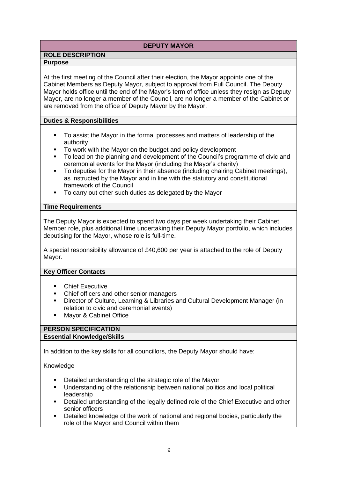# <span id="page-9-0"></span>**DEPUTY MAYOR**

#### **ROLE DESCRIPTION Purpose**

At the first meeting of the Council after their election, the Mayor appoints one of the Cabinet Members as Deputy Mayor, subject to approval from Full Council. The Deputy Mayor holds office until the end of the Mayor's term of office unless they resign as Deputy Mayor, are no longer a member of the Council, are no longer a member of the Cabinet or are removed from the office of Deputy Mayor by the Mayor.

#### **Duties & Responsibilities**

- To assist the Mayor in the formal processes and matters of leadership of the authority
- To work with the Mayor on the budget and policy development
- To lead on the planning and development of the Council's programme of civic and ceremonial events for the Mayor (including the Mayor's charity)
- To deputise for the Mayor in their absence (including chairing Cabinet meetings), as instructed by the Mayor and in line with the statutory and constitutional framework of the Council
- To carry out other such duties as delegated by the Mayor

#### **Time Requirements**

The Deputy Mayor is expected to spend two days per week undertaking their Cabinet Member role, plus additional time undertaking their Deputy Mayor portfolio, which includes deputising for the Mayor, whose role is full-time.

A special responsibility allowance of £40,600 per year is attached to the role of Deputy Mayor.

#### **Key Officer Contacts**

- **•** Chief Executive
- Chief officers and other senior managers
- Director of Culture, Learning & Libraries and Cultural Development Manager (in relation to civic and ceremonial events)
- Mayor & Cabinet Office

# **PERSON SPECIFICATION**

#### **Essential Knowledge/Skills**

In addition to the key skills for all councillors, the Deputy Mayor should have:

#### Knowledge

- Detailed understanding of the strategic role of the Mayor
- Understanding of the relationship between national politics and local political leadership
- Detailed understanding of the legally defined role of the Chief Executive and other senior officers
- Detailed knowledge of the work of national and regional bodies, particularly the role of the Mayor and Council within them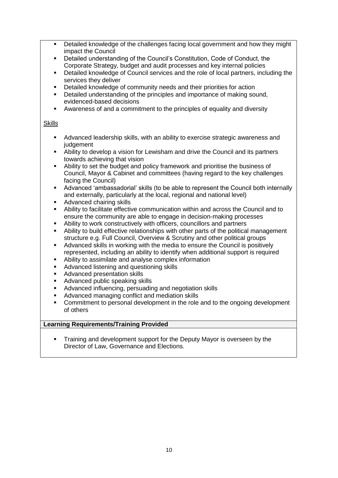- Detailed knowledge of the challenges facing local government and how they might impact the Council
- Detailed understanding of the Council's Constitution, Code of Conduct, the Corporate Strategy, budget and audit processes and key internal policies
- Detailed knowledge of Council services and the role of local partners, including the services they deliver
- Detailed knowledge of community needs and their priorities for action
- Detailed understanding of the principles and importance of making sound, evidenced-based decisions
- Awareness of and a commitment to the principles of equality and diversity

# **Skills**

- Advanced leadership skills, with an ability to exercise strategic awareness and judgement
- Ability to develop a vision for Lewisham and drive the Council and its partners towards achieving that vision
- Ability to set the budget and policy framework and prioritise the business of Council, Mayor & Cabinet and committees (having regard to the key challenges facing the Council)
- Advanced 'ambassadorial' skills (to be able to represent the Council both internally and externally, particularly at the local, regional and national level)
- Advanced chairing skills
- Ability to facilitate effective communication within and across the Council and to ensure the community are able to engage in decision-making processes
- Ability to work constructively with officers, councillors and partners
- Ability to build effective relationships with other parts of the political management structure e.g. Full Council, Overview & Scrutiny and other political groups
- Advanced skills in working with the media to ensure the Council is positively represented, including an ability to identify when additional support is required
- Ability to assimilate and analyse complex information
- **Advanced listening and questioning skills**
- Advanced presentation skills
- Advanced public speaking skills
- Advanced influencing, persuading and negotiation skills
- Advanced managing conflict and mediation skills
- Commitment to personal development in the role and to the ongoing development of others

#### **Learning Requirements/Training Provided**

 Training and development support for the Deputy Mayor is overseen by the Director of Law, Governance and Elections.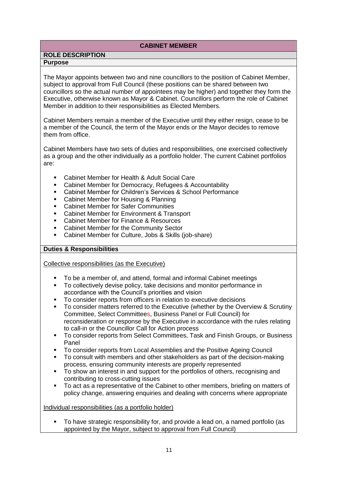# **CABINET MEMBER**

# <span id="page-11-0"></span>**ROLE DESCRIPTION Purpose**

The Mayor appoints between two and nine councillors to the position of Cabinet Member, subject to approval from Full Council (these positions can be shared between two councillors so the actual number of appointees may be higher) and together they form the Executive, otherwise known as Mayor & Cabinet. Councillors perform the role of Cabinet Member in addition to their responsibilities as Elected Members.

Cabinet Members remain a member of the Executive until they either resign, cease to be a member of the Council, the term of the Mayor ends or the Mayor decides to remove them from office.

Cabinet Members have two sets of duties and responsibilities, one exercised collectively as a group and the other individually as a portfolio holder. The current Cabinet portfolios are:

- **EXEC** Cabinet Member for Health & Adult Social Care
- Cabinet Member for Democracy, Refugees & Accountability<br>• Cabinet Member for Children's Services & School Performan
- Cabinet Member for Children's Services & School Performance
- Cabinet Member for Housing & Planning
- **EXEC** Cabinet Member for Safer Communities
- Cabinet Member for Environment & Transport
- Cabinet Member for Finance & Resources
- Cabinet Member for the Community Sector
- Cabinet Member for Culture, Jobs & Skills (job-share)

#### **Duties & Responsibilities**

#### Collective responsibilities (as the Executive)

- To be a member of, and attend, formal and informal Cabinet meetings
- To collectively devise policy, take decisions and monitor performance in accordance with the Council's priorities and vision
- To consider reports from officers in relation to executive decisions
- To consider matters referred to the Executive (whether by the Overview & Scrutiny Committee, Select Committees, Business Panel or Full Council) for reconsideration or response by the Executive in accordance with the rules relating to call-in or the Councillor Call for Action process
- To consider reports from Select Committees, Task and Finish Groups, or Business Panel
- To consider reports from Local Assemblies and the Positive Ageing Council
- To consult with members and other stakeholders as part of the decision-making process, ensuring community interests are properly represented
- To show an interest in and support for the portfolios of others, recognising and contributing to cross-cutting issues
- To act as a representative of the Cabinet to other members, briefing on matters of policy change, answering enquiries and dealing with concerns where appropriate

#### Individual responsibilities (as a portfolio holder)

 To have strategic responsibility for, and provide a lead on, a named portfolio (as appointed by the Mayor, subject to approval from Full Council)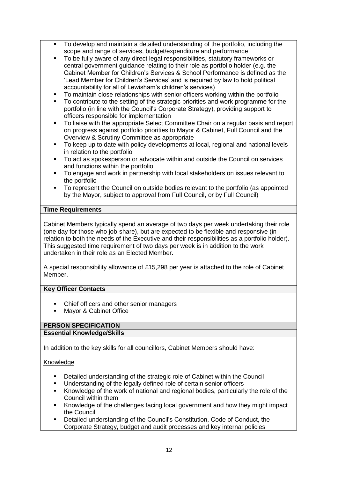- To develop and maintain a detailed understanding of the portfolio, including the scope and range of services, budget/expenditure and performance
- To be fully aware of any direct legal responsibilities, statutory frameworks or central government guidance relating to their role as portfolio holder (e.g. the Cabinet Member for Children's Services & School Performance is defined as the 'Lead Member for Children's Services' and is required by law to hold political accountability for all of Lewisham's children's services)
- To maintain close relationships with senior officers working within the portfolio
- To contribute to the setting of the strategic priorities and work programme for the portfolio (in line with the Council's Corporate Strategy), providing support to officers responsible for implementation
- To liaise with the appropriate Select Committee Chair on a regular basis and report on progress against portfolio priorities to Mayor & Cabinet, Full Council and the Overview & Scrutiny Committee as appropriate
- To keep up to date with policy developments at local, regional and national levels in relation to the portfolio
- To act as spokesperson or advocate within and outside the Council on services and functions within the portfolio
- To engage and work in partnership with local stakeholders on issues relevant to the portfolio
- To represent the Council on outside bodies relevant to the portfolio (as appointed by the Mayor, subject to approval from Full Council, or by Full Council)

#### **Time Requirements**

Cabinet Members typically spend an average of two days per week undertaking their role (one day for those who job-share), but are expected to be flexible and responsive (in relation to both the needs of the Executive and their responsibilities as a portfolio holder). This suggested time requirement of two days per week is in addition to the work undertaken in their role as an Elected Member.

A special responsibility allowance of £15,298 per year is attached to the role of Cabinet Member.

#### **Key Officer Contacts**

- Chief officers and other senior managers
- Mayor & Cabinet Office

#### **PERSON SPECIFICATION Essential Knowledge/Skills**

In addition to the key skills for all councillors, Cabinet Members should have:

#### Knowledge

- **•** Detailed understanding of the strategic role of Cabinet within the Council
- Understanding of the legally defined role of certain senior officers
- Knowledge of the work of national and regional bodies, particularly the role of the Council within them
- Knowledge of the challenges facing local government and how they might impact the Council
- Detailed understanding of the Council's Constitution, Code of Conduct, the Corporate Strategy, budget and audit processes and key internal policies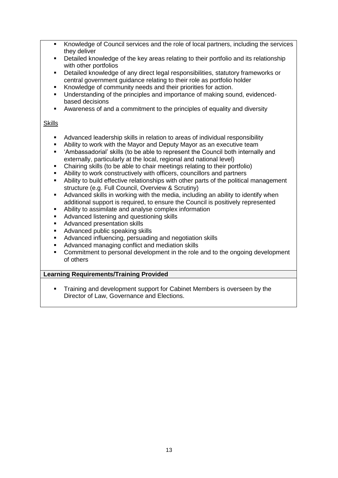- Knowledge of Council services and the role of local partners, including the services they deliver
- Detailed knowledge of the key areas relating to their portfolio and its relationship with other portfolios
- Detailed knowledge of any direct legal responsibilities, statutory frameworks or central government guidance relating to their role as portfolio holder
- Knowledge of community needs and their priorities for action.
- Understanding of the principles and importance of making sound, evidencedbased decisions
- Awareness of and a commitment to the principles of equality and diversity

# **Skills**

- Advanced leadership skills in relation to areas of individual responsibility
- Ability to work with the Mayor and Deputy Mayor as an executive team
- 'Ambassadorial' skills (to be able to represent the Council both internally and externally, particularly at the local, regional and national level)
- Chairing skills (to be able to chair meetings relating to their portfolio)
- Ability to work constructively with officers, councillors and partners
- Ability to build effective relationships with other parts of the political management structure (e.g. Full Council, Overview & Scrutiny)
- Advanced skills in working with the media, including an ability to identify when additional support is required, to ensure the Council is positively represented
- Ability to assimilate and analyse complex information
- Advanced listening and questioning skills
- **Advanced presentation skills**
- Advanced public speaking skills
- Advanced influencing, persuading and negotiation skills
- Advanced managing conflict and mediation skills
- **Commitment to personal development in the role and to the ongoing development** of others

# **Learning Requirements/Training Provided**

 Training and development support for Cabinet Members is overseen by the Director of Law, Governance and Elections.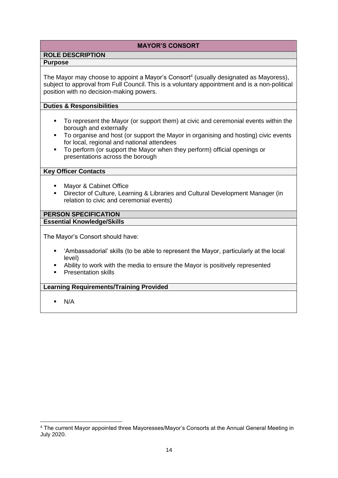# **MAYOR'S CONSORT**

#### <span id="page-14-0"></span>**ROLE DESCRIPTION Purpose**

The Mayor may choose to appoint a Mayor's Consort $^{\rm 4}$  (usually designated as Mayoress), subject to approval from Full Council. This is a voluntary appointment and is a non-political position with no decision-making powers.

# **Duties & Responsibilities**

- To represent the Mayor (or support them) at civic and ceremonial events within the borough and externally
- To organise and host (or support the Mayor in organising and hosting) civic events for local, regional and national attendees
- To perform (or support the Mayor when they perform) official openings or presentations across the borough

# **Key Officer Contacts**

- **Navor & Cabinet Office**
- Director of Culture, Learning & Libraries and Cultural Development Manager (in relation to civic and ceremonial events)

# **PERSON SPECIFICATION**

**Essential Knowledge/Skills**

The Mayor's Consort should have:

- 'Ambassadorial' skills (to be able to represent the Mayor, particularly at the local level)
- Ability to work with the media to ensure the Mayor is positively represented
- **Presentation skills**

# **Learning Requirements/Training Provided**

 $N/A$ 

 $\overline{a}$ 

<sup>4</sup> The current Mayor appointed three Mayoresses/Mayor's Consorts at the Annual General Meeting in July 2020.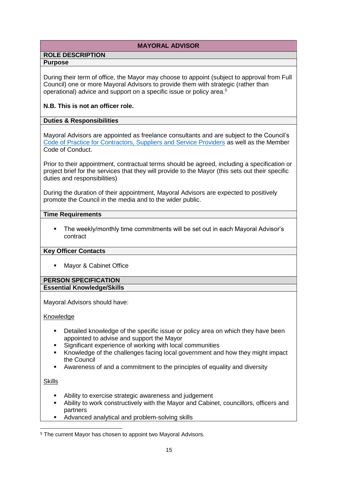# **MAYORAL ADVISOR**

#### <span id="page-15-0"></span>**ROLE DESCRIPTION Purpose**

During their term of office, the Mayor may choose to appoint (subject to approval from Full Council) one or more Mayoral Advisors to provide them with strategic (rather than operational) advice and support on a specific issue or policy area.<sup>5</sup>

# **N.B. This is not an officer role.**

#### **Duties & Responsibilities**

Mayoral Advisors are appointed as freelance consultants and are subject to the Council's [Code of Practice for Contractors, Suppliers and Service Providers](https://lewisham.gov.uk/-/media/files/imported/codeofpracticecontractors.ashx) as well as the Member Code of Conduct.

Prior to their appointment, contractual terms should be agreed, including a specification or project brief for the services that they will provide to the Mayor (this sets out their specific duties and responsibilities)

During the duration of their appointment, Mayoral Advisors are expected to positively promote the Council in the media and to the wider public.

#### **Time Requirements**

 The weekly/monthly time commitments will be set out in each Mayoral Advisor's contract

#### **Key Officer Contacts**

Mayor & Cabinet Office

# **PERSON SPECIFICATION**

# **Essential Knowledge/Skills**

Mayoral Advisors should have:

#### Knowledge

- Detailed knowledge of the specific issue or policy area on which they have been appointed to advise and support the Mayor
- Significant experience of working with local communities
- Knowledge of the challenges facing local government and how they might impact the Council
- Awareness of and a commitment to the principles of equality and diversity

**Skills** 

- Ability to exercise strategic awareness and judgement
- Ability to work constructively with the Mayor and Cabinet, councillors, officers and partners
- **Advanced analytical and problem-solving skills**

<sup>5</sup> The current Mayor has chosen to appoint two Mayoral Advisors.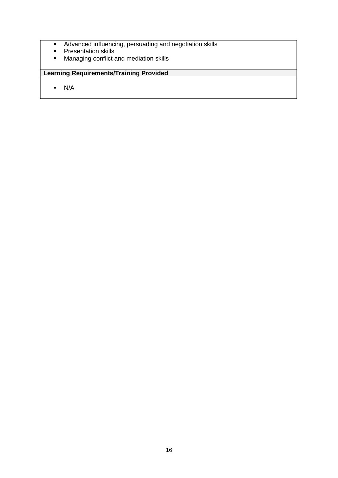- Advanced influencing, persuading and negotiation skills
- **Presentation skills**
- **Managing conflict and mediation skills**

# **Learning Requirements/Training Provided**

 $N/A$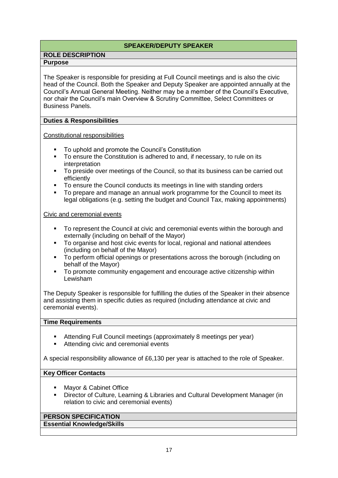# **SPEAKER/DEPUTY SPEAKER**

#### <span id="page-17-0"></span>**ROLE DESCRIPTION Purpose**

The Speaker is responsible for presiding at Full Council meetings and is also the civic head of the Council. Both the Speaker and Deputy Speaker are appointed annually at the Council's Annual General Meeting. Neither may be a member of the Council's Executive, nor chair the Council's main Overview & Scrutiny Committee, Select Committees or Business Panels.

#### **Duties & Responsibilities**

#### Constitutional responsibilities

- To uphold and promote the Council's Constitution
- To ensure the Constitution is adhered to and, if necessary, to rule on its interpretation
- To preside over meetings of the Council, so that its business can be carried out efficiently
- To ensure the Council conducts its meetings in line with standing orders
- To prepare and manage an annual work programme for the Council to meet its legal obligations (e.g. setting the budget and Council Tax, making appointments)

#### Civic and ceremonial events

- To represent the Council at civic and ceremonial events within the borough and externally (including on behalf of the Mayor)
- To organise and host civic events for local, regional and national attendees (including on behalf of the Mayor)
- To perform official openings or presentations across the borough (including on behalf of the Mayor)
- To promote community engagement and encourage active citizenship within Lewisham

The Deputy Speaker is responsible for fulfilling the duties of the Speaker in their absence and assisting them in specific duties as required (including attendance at civic and ceremonial events).

#### **Time Requirements**

- Attending Full Council meetings (approximately 8 meetings per year)
- **Attending civic and ceremonial events**

A special responsibility allowance of £6,130 per year is attached to the role of Speaker.

# **Key Officer Contacts**

- Mayor & Cabinet Office
- Director of Culture, Learning & Libraries and Cultural Development Manager (in relation to civic and ceremonial events)

# **PERSON SPECIFICATION**

**Essential Knowledge/Skills**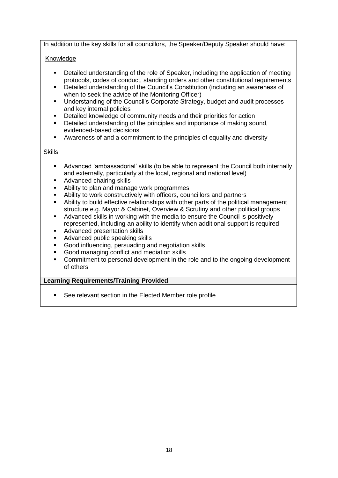In addition to the key skills for all councillors, the Speaker/Deputy Speaker should have:

# Knowledge

- Detailed understanding of the role of Speaker, including the application of meeting protocols, codes of conduct, standing orders and other constitutional requirements
- Detailed understanding of the Council's Constitution (including an awareness of when to seek the advice of the Monitoring Officer)
- Understanding of the Council's Corporate Strategy, budget and audit processes and key internal policies
- Detailed knowledge of community needs and their priorities for action
- Detailed understanding of the principles and importance of making sound, evidenced-based decisions
- Awareness of and a commitment to the principles of equality and diversity

# **Skills**

- Advanced 'ambassadorial' skills (to be able to represent the Council both internally and externally, particularly at the local, regional and national level)
- Advanced chairing skills
- Ability to plan and manage work programmes
- Ability to work constructively with officers, councillors and partners
- Ability to build effective relationships with other parts of the political management structure e.g. Mayor & Cabinet, Overview & Scrutiny and other political groups
- Advanced skills in working with the media to ensure the Council is positively represented, including an ability to identify when additional support is required
- Advanced presentation skills
- Advanced public speaking skills
- Good influencing, persuading and negotiation skills
- Good managing conflict and mediation skills
- Commitment to personal development in the role and to the ongoing development of others

#### **Learning Requirements/Training Provided**

See relevant section in the Elected Member role profile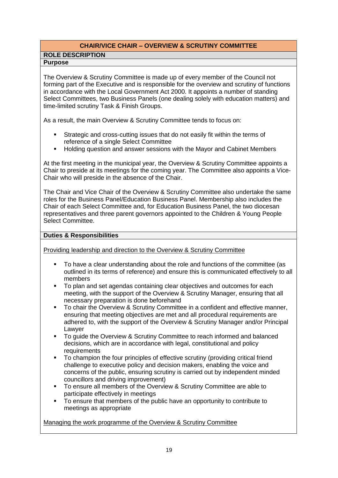# **CHAIR/VICE CHAIR – OVERVIEW & SCRUTINY COMMITTEE**

# <span id="page-19-0"></span>**ROLE DESCRIPTION**

# **Purpose**

The Overview & Scrutiny Committee is made up of every member of the Council not forming part of the Executive and is responsible for the overview and scrutiny of functions in accordance with the Local Government Act 2000. It appoints a number of standing Select Committees, two Business Panels (one dealing solely with education matters) and time-limited scrutiny Task & Finish Groups.

As a result, the main Overview & Scrutiny Committee tends to focus on:

- Strategic and cross-cutting issues that do not easily fit within the terms of reference of a single Select Committee
- **Holding question and answer sessions with the Mayor and Cabinet Members**

At the first meeting in the municipal year, the Overview & Scrutiny Committee appoints a Chair to preside at its meetings for the coming year. The Committee also appoints a Vice-Chair who will preside in the absence of the Chair.

The Chair and Vice Chair of the Overview & Scrutiny Committee also undertake the same roles for the Business Panel/Education Business Panel. Membership also includes the Chair of each Select Committee and, for Education Business Panel, the two diocesan representatives and three parent governors appointed to the Children & Young People Select Committee.

#### **Duties & Responsibilities**

Providing leadership and direction to the Overview & Scrutiny Committee

- To have a clear understanding about the role and functions of the committee (as outlined in its terms of reference) and ensure this is communicated effectively to all members
- To plan and set agendas containing clear objectives and outcomes for each meeting, with the support of the Overview & Scrutiny Manager, ensuring that all necessary preparation is done beforehand
- To chair the Overview & Scrutiny Committee in a confident and effective manner, ensuring that meeting objectives are met and all procedural requirements are adhered to, with the support of the Overview & Scrutiny Manager and/or Principal Lawyer
- To guide the Overview & Scrutiny Committee to reach informed and balanced decisions, which are in accordance with legal, constitutional and policy requirements
- To champion the four principles of effective scrutiny (providing critical friend challenge to executive policy and decision makers, enabling the voice and concerns of the public, ensuring scrutiny is carried out by independent minded councillors and driving improvement)
- To ensure all members of the Overview & Scrutiny Committee are able to participate effectively in meetings
- To ensure that members of the public have an opportunity to contribute to meetings as appropriate

Managing the work programme of the Overview & Scrutiny Committee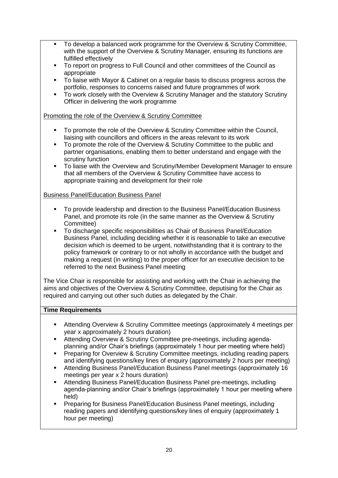- To develop a balanced work programme for the Overview & Scrutiny Committee, with the support of the Overview & Scrutiny Manager, ensuring its functions are fulfilled effectively
- To report on progress to Full Council and other committees of the Council as appropriate
- To liaise with Mayor & Cabinet on a regular basis to discuss progress across the portfolio, responses to concerns raised and future programmes of work
- To work closely with the Overview & Scrutiny Manager and the statutory Scrutiny Officer in delivering the work programme

Promoting the role of the Overview & Scrutiny Committee

- To promote the role of the Overview & Scrutiny Committee within the Council, liaising with councillors and officers in the areas relevant to its work
- To promote the role of the Overview & Scrutiny Committee to the public and partner organisations, enabling them to better understand and engage with the scrutiny function
- To liaise with the Overview and Scrutiny/Member Development Manager to ensure that all members of the Overview & Scrutiny Committee have access to appropriate training and development for their role

# Business Panel/Education Business Panel

- To provide leadership and direction to the Business Panel/Education Business Panel, and promote its role (in the same manner as the Overview & Scrutiny Committee)
- To discharge specific responsibilities as Chair of Business Panel/Education Business Panel, including deciding whether it is reasonable to take an executive decision which is deemed to be urgent, notwithstanding that it is contrary to the policy framework or contrary to or not wholly in accordance with the budget and making a request (in writing) to the proper officer for an executive decision to be referred to the next Business Panel meeting

The Vice Chair is responsible for assisting and working with the Chair in achieving the aims and objectives of the Overview & Scrutiny Committee, deputising for the Chair as required and carrying out other such duties as delegated by the Chair.

#### **Time Requirements**

- Attending Overview & Scrutiny Committee meetings (approximately 4 meetings per year x approximately 2 hours duration)
- Attending Overview & Scrutiny Committee pre-meetings, including agendaplanning and/or Chair's briefings (approximately 1 hour per meeting where held)
- Preparing for Overview & Scrutiny Committee meetings, including reading papers and identifying questions/key lines of enquiry (approximately 2 hours per meeting)
- Attending Business Panel/Education Business Panel meetings (approximately 16 meetings per year x 2 hours duration)
- Attending Business Panel/Education Business Panel pre-meetings, including agenda-planning and/or Chair's briefings (approximately 1 hour per meeting where held)
- Preparing for Business Panel/Education Business Panel meetings, including reading papers and identifying questions/key lines of enquiry (approximately 1 hour per meeting)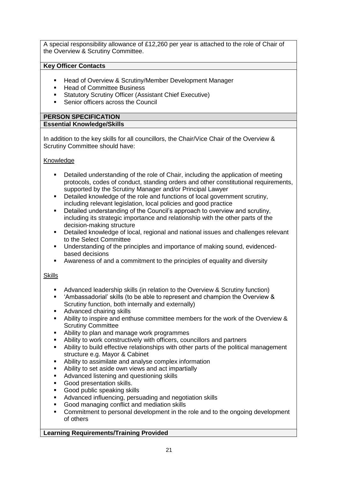A special responsibility allowance of £12,260 per year is attached to the role of Chair of the Overview & Scrutiny Committee.

# **Key Officer Contacts**

- Head of Overview & Scrutiny/Member Development Manager
- **Head of Committee Business**
- Statutory Scrutiny Officer (Assistant Chief Executive)
- Senior officers across the Council

# **PERSON SPECIFICATION**

# **Essential Knowledge/Skills**

In addition to the key skills for all councillors, the Chair/Vice Chair of the Overview & Scrutiny Committee should have:

# Knowledge

- Detailed understanding of the role of Chair, including the application of meeting protocols, codes of conduct, standing orders and other constitutional requirements, supported by the Scrutiny Manager and/or Principal Lawyer
- Detailed knowledge of the role and functions of local government scrutiny, including relevant legislation, local policies and good practice
- Detailed understanding of the Council's approach to overview and scrutiny, including its strategic importance and relationship with the other parts of the decision-making structure
- Detailed knowledge of local, regional and national issues and challenges relevant to the Select Committee
- Understanding of the principles and importance of making sound, evidencedbased decisions
- Awareness of and a commitment to the principles of equality and diversity

# Skills

- Advanced leadership skills (in relation to the Overview & Scrutiny function)
- 'Ambassadorial' skills (to be able to represent and champion the Overview & Scrutiny function, both internally and externally)
- Advanced chairing skills
- **•** Ability to inspire and enthuse committee members for the work of the Overview & Scrutiny Committee
- Ability to plan and manage work programmes
- Ability to work constructively with officers, councillors and partners
- Ability to build effective relationships with other parts of the political management structure e.g. Mayor & Cabinet
- Ability to assimilate and analyse complex information
- Ability to set aside own views and act impartially
- **Advanced listening and questioning skills**
- **Good presentation skills.**
- **Good public speaking skills**
- Advanced influencing, persuading and negotiation skills
- Good managing conflict and mediation skills
- Commitment to personal development in the role and to the ongoing development of others

# **Learning Requirements/Training Provided**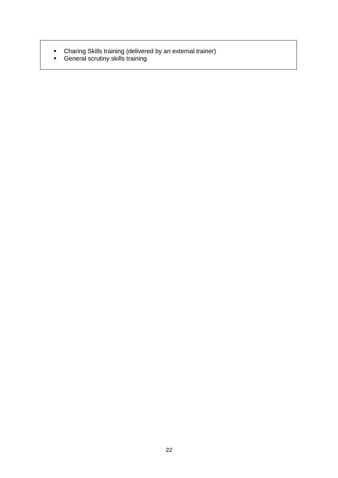- Charing Skills training (delivered by an external trainer)
- General scrutiny skills training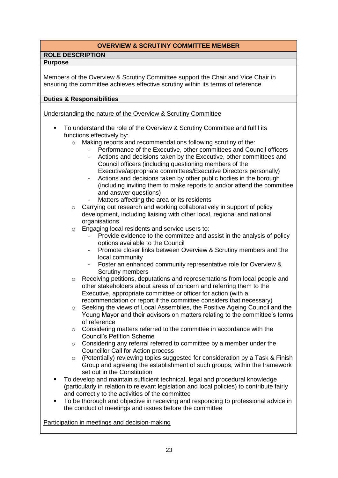# <span id="page-23-0"></span>**OVERVIEW & SCRUTINY COMMITTEE MEMBER**

# **ROLE DESCRIPTION**

#### **Purpose**

Members of the Overview & Scrutiny Committee support the Chair and Vice Chair in ensuring the committee achieves effective scrutiny within its terms of reference.

# **Duties & Responsibilities**

Understanding the nature of the Overview & Scrutiny Committee

- To understand the role of the Overview & Scrutiny Committee and fulfil its functions effectively by:
	- o Making reports and recommendations following scrutiny of the:
		- Performance of the Executive, other committees and Council officers
		- Actions and decisions taken by the Executive, other committees and Council officers (including questioning members of the Executive/appropriate committees/Executive Directors personally)
		- Actions and decisions taken by other public bodies in the borough (including inviting them to make reports to and/or attend the committee and answer questions)
		- Matters affecting the area or its residents
	- o Carrying out research and working collaboratively in support of policy development, including liaising with other local, regional and national **organisations**
	- o Engaging local residents and service users to:
		- Provide evidence to the committee and assist in the analysis of policy options available to the Council
		- Promote closer links between Overview & Scrutiny members and the local community
		- Foster an enhanced community representative role for Overview & Scrutiny members
	- $\circ$  Receiving petitions, deputations and representations from local people and other stakeholders about areas of concern and referring them to the Executive, appropriate committee or officer for action (with a recommendation or report if the committee considers that necessary)
	- o Seeking the views of Local Assemblies, the Positive Ageing Council and the Young Mayor and their advisors on matters relating to the committee's terms of reference
	- o Considering matters referred to the committee in accordance with the Council's Petition Scheme
	- o Considering any referral referred to committee by a member under the Councillor Call for Action process
	- o (Potentially) reviewing topics suggested for consideration by a Task & Finish Group and agreeing the establishment of such groups, within the framework set out in the Constitution
- To develop and maintain sufficient technical, legal and procedural knowledge (particularly in relation to relevant legislation and local policies) to contribute fairly and correctly to the activities of the committee
- To be thorough and objective in receiving and responding to professional advice in the conduct of meetings and issues before the committee

Participation in meetings and decision-making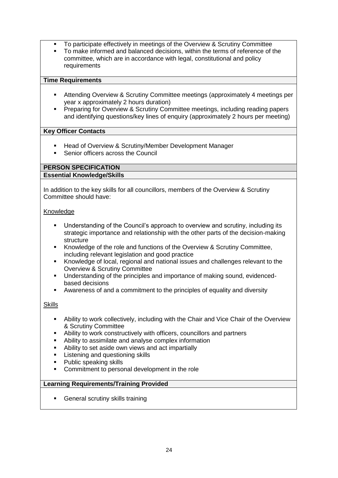- To participate effectively in meetings of the Overview & Scrutiny Committee
- To make informed and balanced decisions, within the terms of reference of the committee, which are in accordance with legal, constitutional and policy requirements

#### **Time Requirements**

- Attending Overview & Scrutiny Committee meetings (approximately 4 meetings per year x approximately 2 hours duration)
- Preparing for Overview & Scrutiny Committee meetings, including reading papers and identifying questions/key lines of enquiry (approximately 2 hours per meeting)

#### **Key Officer Contacts**

- Head of Overview & Scrutiny/Member Development Manager
- Senior officers across the Council

#### **PERSON SPECIFICATION Essential Knowledge/Skills**

In addition to the key skills for all councillors, members of the Overview & Scrutiny Committee should have:

#### Knowledge

- Understanding of the Council's approach to overview and scrutiny, including its strategic importance and relationship with the other parts of the decision-making structure
- Knowledge of the role and functions of the Overview & Scrutiny Committee, including relevant legislation and good practice
- Knowledge of local, regional and national issues and challenges relevant to the Overview & Scrutiny Committee
- Understanding of the principles and importance of making sound, evidencedbased decisions
- Awareness of and a commitment to the principles of equality and diversity

#### **Skills**

- Ability to work collectively, including with the Chair and Vice Chair of the Overview & Scrutiny Committee
- Ability to work constructively with officers, councillors and partners
- Ability to assimilate and analyse complex information
- Ability to set aside own views and act impartially
- **Listening and questioning skills**
- Public speaking skills
- **Commitment to personal development in the role**

#### **Learning Requirements/Training Provided**

**General scrutiny skills training**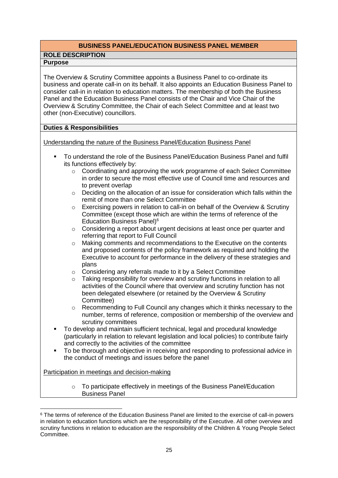# **BUSINESS PANEL/EDUCATION BUSINESS PANEL MEMBER**

# <span id="page-25-0"></span>**ROLE DESCRIPTION**

#### **Purpose**

The Overview & Scrutiny Committee appoints a Business Panel to co-ordinate its business and operate call-in on its behalf. It also appoints an Education Business Panel to consider call-in in relation to education matters. The membership of both the Business Panel and the Education Business Panel consists of the Chair and Vice Chair of the Overview & Scrutiny Committee, the Chair of each Select Committee and at least two other (non-Executive) councillors.

# **Duties & Responsibilities**

Understanding the nature of the Business Panel/Education Business Panel

- To understand the role of the Business Panel/Education Business Panel and fulfil its functions effectively by:
	- $\circ$  Coordinating and approving the work programme of each Select Committee in order to secure the most effective use of Council time and resources and to prevent overlap
	- $\circ$  Deciding on the allocation of an issue for consideration which falls within the remit of more than one Select Committee
	- o Exercising powers in relation to call-in on behalf of the Overview & Scrutiny Committee (except those which are within the terms of reference of the Education Business Panel)<sup>6</sup>
	- $\circ$  Considering a report about urgent decisions at least once per quarter and referring that report to Full Council
	- $\circ$  Making comments and recommendations to the Executive on the contents and proposed contents of the policy framework as required and holding the Executive to account for performance in the delivery of these strategies and plans
	- o Considering any referrals made to it by a Select Committee
	- $\circ$  Taking responsibility for overview and scrutiny functions in relation to all activities of the Council where that overview and scrutiny function has not been delegated elsewhere (or retained by the Overview & Scrutiny Committee)
	- o Recommending to Full Council any changes which it thinks necessary to the number, terms of reference, composition or membership of the overview and scrutiny committees
- To develop and maintain sufficient technical, legal and procedural knowledge (particularly in relation to relevant legislation and local policies) to contribute fairly and correctly to the activities of the committee
- To be thorough and objective in receiving and responding to professional advice in the conduct of meetings and issues before the panel

Participation in meetings and decision-making

o To participate effectively in meetings of the Business Panel/Education Business Panel

<sup>&</sup>lt;sup>6</sup> The terms of reference of the Education Business Panel are limited to the exercise of call-in powers in relation to education functions which are the responsibility of the Executive. All other overview and scrutiny functions in relation to education are the responsibility of the Children & Young People Select Committee.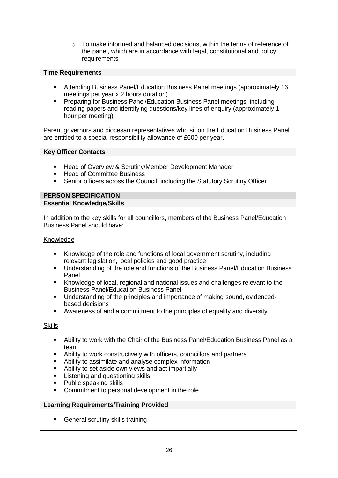To make informed and balanced decisions, within the terms of reference of the panel, which are in accordance with legal, constitutional and policy requirements

# **Time Requirements**

- Attending Business Panel/Education Business Panel meetings (approximately 16 meetings per year x 2 hours duration)
- Preparing for Business Panel/Education Business Panel meetings, including reading papers and identifying questions/key lines of enquiry (approximately 1 hour per meeting)

Parent governors and diocesan representatives who sit on the Education Business Panel are entitled to a special responsibility allowance of £600 per year.

# **Key Officer Contacts**

- Head of Overview & Scrutiny/Member Development Manager
- Head of Committee Business
- Senior officers across the Council, including the Statutory Scrutiny Officer

#### **PERSON SPECIFICATION Essential Knowledge/Skills**

In addition to the key skills for all councillors, members of the Business Panel/Education Business Panel should have:

#### Knowledge

- Knowledge of the role and functions of local government scrutiny, including relevant legislation, local policies and good practice
- Understanding of the role and functions of the Business Panel/Education Business Panel
- Knowledge of local, regional and national issues and challenges relevant to the Business Panel/Education Business Panel
- Understanding of the principles and importance of making sound, evidencedbased decisions
- Awareness of and a commitment to the principles of equality and diversity

#### **Skills**

- Ability to work with the Chair of the Business Panel/Education Business Panel as a team
- Ability to work constructively with officers, councillors and partners
- Ability to assimilate and analyse complex information
- Ability to set aside own views and act impartially
- **Listening and questioning skills**
- Public speaking skills
- **Commitment to personal development in the role**

#### **Learning Requirements/Training Provided**

**General scrutiny skills training**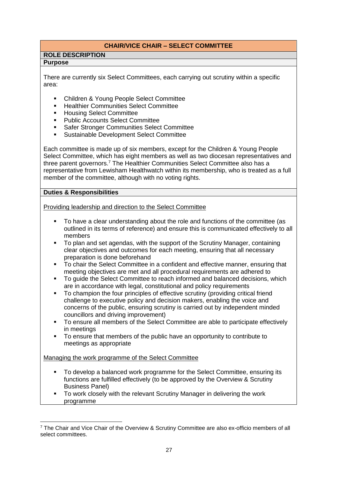# **CHAIR/VICE CHAIR – SELECT COMMITTEE**

#### <span id="page-27-0"></span>**ROLE DESCRIPTION Purpose**

There are currently six Select Committees, each carrying out scrutiny within a specific area:

- **Children & Young People Select Committee**
- **EXECOMMUNITY Healthier Communities Select Committee**
- **Housing Select Committee**
- Public Accounts Select Committee
- **Safer Stronger Communities Select Committee**<br>
Sustainable Development Select Committee
- Sustainable Development Select Committee

Each committee is made up of six members, except for the Children & Young People Select Committee, which has eight members as well as two diocesan representatives and three parent governors.<sup>7</sup> The Healthier Communities Select Committee also has a representative from Lewisham Healthwatch within its membership, who is treated as a full member of the committee, although with no voting rights.

# **Duties & Responsibilities**

Providing leadership and direction to the Select Committee

- To have a clear understanding about the role and functions of the committee (as outlined in its terms of reference) and ensure this is communicated effectively to all members
- To plan and set agendas, with the support of the Scrutiny Manager, containing clear objectives and outcomes for each meeting, ensuring that all necessary preparation is done beforehand
- To chair the Select Committee in a confident and effective manner, ensuring that meeting objectives are met and all procedural requirements are adhered to
- To guide the Select Committee to reach informed and balanced decisions, which are in accordance with legal, constitutional and policy requirements
- To champion the four principles of effective scrutiny (providing critical friend challenge to executive policy and decision makers, enabling the voice and concerns of the public, ensuring scrutiny is carried out by independent minded councillors and driving improvement)
- To ensure all members of the Select Committee are able to participate effectively in meetings
- To ensure that members of the public have an opportunity to contribute to meetings as appropriate

Managing the work programme of the Select Committee

- To develop a balanced work programme for the Select Committee, ensuring its functions are fulfilled effectively (to be approved by the Overview & Scrutiny Business Panel)
- To work closely with the relevant Scrutiny Manager in delivering the work programme

 $\overline{a}$ <sup>7</sup> The Chair and Vice Chair of the Overview & Scrutiny Committee are also ex-officio members of all select committees.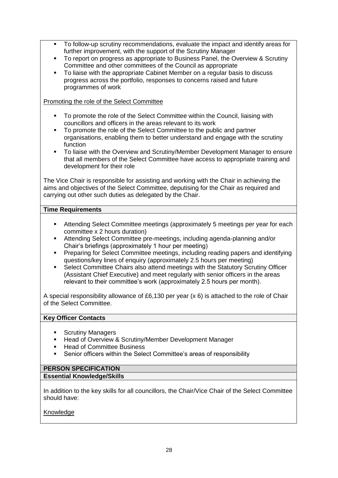- To follow-up scrutiny recommendations, evaluate the impact and identify areas for further improvement, with the support of the Scrutiny Manager
- To report on progress as appropriate to Business Panel, the Overview & Scrutiny Committee and other committees of the Council as appropriate
- To liaise with the appropriate Cabinet Member on a regular basis to discuss progress across the portfolio, responses to concerns raised and future programmes of work

# Promoting the role of the Select Committee

- To promote the role of the Select Committee within the Council, liaising with councillors and officers in the areas relevant to its work
- To promote the role of the Select Committee to the public and partner organisations, enabling them to better understand and engage with the scrutiny function
- To liaise with the Overview and Scrutiny/Member Development Manager to ensure that all members of the Select Committee have access to appropriate training and development for their role

The Vice Chair is responsible for assisting and working with the Chair in achieving the aims and objectives of the Select Committee, deputising for the Chair as required and carrying out other such duties as delegated by the Chair.

#### **Time Requirements**

- Attending Select Committee meetings (approximately 5 meetings per year for each committee x 2 hours duration)
- Attending Select Committee pre-meetings, including agenda-planning and/or Chair's briefings (approximately 1 hour per meeting)
- Preparing for Select Committee meetings, including reading papers and identifying questions/key lines of enquiry (approximately 2.5 hours per meeting)
- Select Committee Chairs also attend meetings with the Statutory Scrutiny Officer (Assistant Chief Executive) and meet regularly with senior officers in the areas relevant to their committee's work (approximately 2.5 hours per month).

A special responsibility allowance of £6,130 per year (x 6) is attached to the role of Chair of the Select Committee.

#### **Key Officer Contacts**

- Scrutiny Managers
- Head of Overview & Scrutiny/Member Development Manager
- Head of Committee Business
- Senior officers within the Select Committee's areas of responsibility

# **PERSON SPECIFICATION**

#### **Essential Knowledge/Skills**

In addition to the key skills for all councillors, the Chair/Vice Chair of the Select Committee should have:

#### Knowledge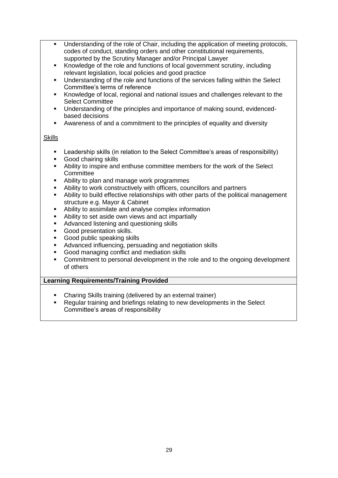- Understanding of the role of Chair, including the application of meeting protocols, codes of conduct, standing orders and other constitutional requirements, supported by the Scrutiny Manager and/or Principal Lawyer
- Knowledge of the role and functions of local government scrutiny, including relevant legislation, local policies and good practice
- Understanding of the role and functions of the services falling within the Select Committee's terms of reference
- Knowledge of local, regional and national issues and challenges relevant to the Select Committee
- Understanding of the principles and importance of making sound, evidencedbased decisions
- Awareness of and a commitment to the principles of equality and diversity

# **Skills**

- Leadership skills (in relation to the Select Committee's areas of responsibility)
- Good chairing skills
- Ability to inspire and enthuse committee members for the work of the Select **Committee**
- Ability to plan and manage work programmes
- Ability to work constructively with officers, councillors and partners
- Ability to build effective relationships with other parts of the political management structure e.g. Mayor & Cabinet
- Ability to assimilate and analyse complex information
- Ability to set aside own views and act impartially
- **Advanced listening and questioning skills**
- Good presentation skills.
- Good public speaking skills
- Advanced influencing, persuading and negotiation skills
- Good managing conflict and mediation skills
- Commitment to personal development in the role and to the ongoing development of others

# **Learning Requirements/Training Provided**

- Charing Skills training (delivered by an external trainer)
- Regular training and briefings relating to new developments in the Select Committee's areas of responsibility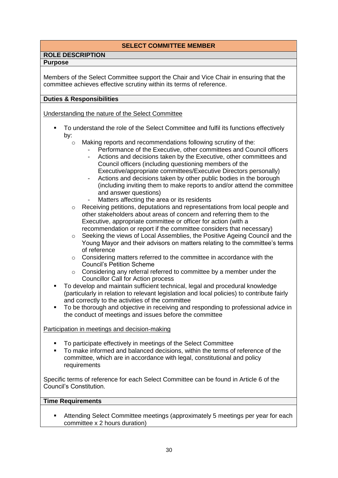# **SELECT COMMITTEE MEMBER**

#### <span id="page-30-0"></span>**ROLE DESCRIPTION Purpose**

Members of the Select Committee support the Chair and Vice Chair in ensuring that the committee achieves effective scrutiny within its terms of reference.

#### **Duties & Responsibilities**

Understanding the nature of the Select Committee

- To understand the role of the Select Committee and fulfil its functions effectively by:
	- o Making reports and recommendations following scrutiny of the:
		- Performance of the Executive, other committees and Council officers
		- Actions and decisions taken by the Executive, other committees and Council officers (including questioning members of the Executive/appropriate committees/Executive Directors personally)
		- Actions and decisions taken by other public bodies in the borough (including inviting them to make reports to and/or attend the committee and answer questions)
		- Matters affecting the area or its residents
	- o Receiving petitions, deputations and representations from local people and other stakeholders about areas of concern and referring them to the Executive, appropriate committee or officer for action (with a recommendation or report if the committee considers that necessary)
	- $\circ$  Seeking the views of Local Assemblies, the Positive Ageing Council and the Young Mayor and their advisors on matters relating to the committee's terms of reference
	- o Considering matters referred to the committee in accordance with the Council's Petition Scheme
	- o Considering any referral referred to committee by a member under the Councillor Call for Action process
- To develop and maintain sufficient technical, legal and procedural knowledge (particularly in relation to relevant legislation and local policies) to contribute fairly and correctly to the activities of the committee
- To be thorough and objective in receiving and responding to professional advice in the conduct of meetings and issues before the committee

#### Participation in meetings and decision-making

- To participate effectively in meetings of the Select Committee
- To make informed and balanced decisions, within the terms of reference of the committee, which are in accordance with legal, constitutional and policy requirements

Specific terms of reference for each Select Committee can be found in Article 6 of the Council's Constitution.

#### **Time Requirements**

 Attending Select Committee meetings (approximately 5 meetings per year for each committee x 2 hours duration)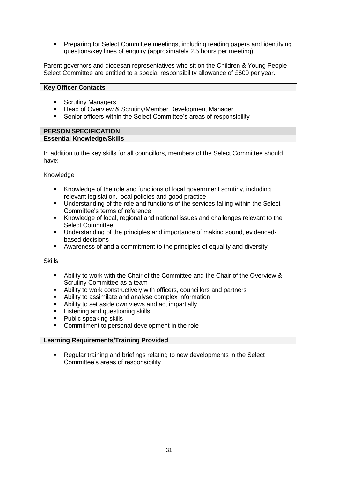Preparing for Select Committee meetings, including reading papers and identifying questions/key lines of enquiry (approximately 2.5 hours per meeting)

Parent governors and diocesan representatives who sit on the Children & Young People Select Committee are entitled to a special responsibility allowance of £600 per year.

#### **Key Officer Contacts**

- Scrutiny Managers
- Head of Overview & Scrutiny/Member Development Manager
- Senior officers within the Select Committee's areas of responsibility

# **PERSON SPECIFICATION**

**Essential Knowledge/Skills**

In addition to the key skills for all councillors, members of the Select Committee should have:

#### Knowledge

- Knowledge of the role and functions of local government scrutiny, including relevant legislation, local policies and good practice
- Understanding of the role and functions of the services falling within the Select Committee's terms of reference
- Knowledge of local, regional and national issues and challenges relevant to the Select Committee
- Understanding of the principles and importance of making sound, evidencedbased decisions
- Awareness of and a commitment to the principles of equality and diversity

#### Skills

- Ability to work with the Chair of the Committee and the Chair of the Overview & Scrutiny Committee as a team
- Ability to work constructively with officers, councillors and partners
- Ability to assimilate and analyse complex information
- Ability to set aside own views and act impartially
- Listening and questioning skills
- Public speaking skills
- **Commitment to personal development in the role**

# **Learning Requirements/Training Provided**

 Regular training and briefings relating to new developments in the Select Committee's areas of responsibility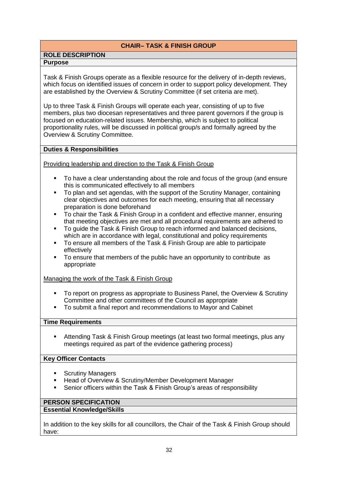# **CHAIR– TASK & FINISH GROUP**

#### <span id="page-32-0"></span>**ROLE DESCRIPTION Purpose**

Task & Finish Groups operate as a flexible resource for the delivery of in-depth reviews, which focus on identified issues of concern in order to support policy development. They are established by the Overview & Scrutiny Committee (if set criteria are met).

Up to three Task & Finish Groups will operate each year, consisting of up to five members, plus two diocesan representatives and three parent governors if the group is focused on education-related issues. Membership, which is subject to political proportionality rules, will be discussed in political group/s and formally agreed by the Overview & Scrutiny Committee.

#### **Duties & Responsibilities**

Providing leadership and direction to the Task & Finish Group

- To have a clear understanding about the role and focus of the group (and ensure this is communicated effectively to all members
- To plan and set agendas, with the support of the Scrutiny Manager, containing clear objectives and outcomes for each meeting, ensuring that all necessary preparation is done beforehand
- To chair the Task & Finish Group in a confident and effective manner, ensuring that meeting objectives are met and all procedural requirements are adhered to
- To guide the Task & Finish Group to reach informed and balanced decisions, which are in accordance with legal, constitutional and policy requirements
- To ensure all members of the Task & Finish Group are able to participate effectively
- To ensure that members of the public have an opportunity to contribute as appropriate

Managing the work of the Task & Finish Group

- To report on progress as appropriate to Business Panel, the Overview & Scrutiny Committee and other committees of the Council as appropriate
- To submit a final report and recommendations to Mayor and Cabinet

#### **Time Requirements**

 Attending Task & Finish Group meetings (at least two formal meetings, plus any meetings required as part of the evidence gathering process)

#### **Key Officer Contacts**

- Scrutiny Managers
- Head of Overview & Scrutiny/Member Development Manager
- Senior officers within the Task & Finish Group's areas of responsibility

# **PERSON SPECIFICATION**

#### **Essential Knowledge/Skills**

In addition to the key skills for all councillors, the Chair of the Task & Finish Group should have: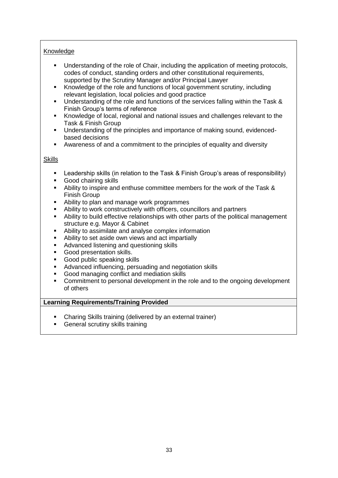# Knowledge

- Understanding of the role of Chair, including the application of meeting protocols, codes of conduct, standing orders and other constitutional requirements, supported by the Scrutiny Manager and/or Principal Lawyer
- Knowledge of the role and functions of local government scrutiny, including relevant legislation, local policies and good practice
- Understanding of the role and functions of the services falling within the Task & Finish Group's terms of reference
- Knowledge of local, regional and national issues and challenges relevant to the Task & Finish Group
- Understanding of the principles and importance of making sound, evidencedbased decisions
- Awareness of and a commitment to the principles of equality and diversity

#### **Skills**

- Leadership skills (in relation to the Task & Finish Group's areas of responsibility)
- Good chairing skills
- Ability to inspire and enthuse committee members for the work of the Task & Finish Group
- Ability to plan and manage work programmes
- Ability to work constructively with officers, councillors and partners
- Ability to build effective relationships with other parts of the political management structure e.g. Mayor & Cabinet
- Ability to assimilate and analyse complex information
- Ability to set aside own views and act impartially
- **Advanced listening and questioning skills**
- **Good presentation skills.**
- **Good public speaking skills**
- Advanced influencing, persuading and negotiation skills
- Good managing conflict and mediation skills
- Commitment to personal development in the role and to the ongoing development of others

#### **Learning Requirements/Training Provided**

- Charing Skills training (delivered by an external trainer)
- General scrutiny skills training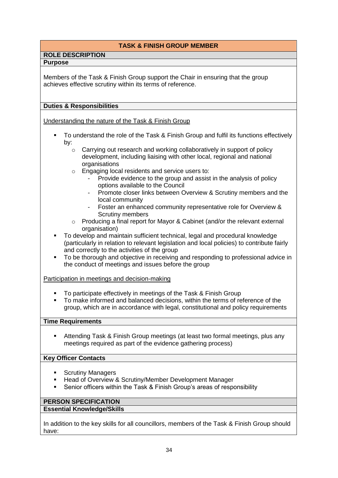# **TASK & FINISH GROUP MEMBER**

#### <span id="page-34-0"></span>**ROLE DESCRIPTION Purpose**

Members of the Task & Finish Group support the Chair in ensuring that the group achieves effective scrutiny within its terms of reference.

#### **Duties & Responsibilities**

Understanding the nature of the Task & Finish Group

- To understand the role of the Task & Finish Group and fulfil its functions effectively by:
	- o Carrying out research and working collaboratively in support of policy development, including liaising with other local, regional and national organisations
	- o Engaging local residents and service users to:
		- Provide evidence to the group and assist in the analysis of policy options available to the Council
		- Promote closer links between Overview & Scrutiny members and the local community
		- Foster an enhanced community representative role for Overview & Scrutiny members
	- o Producing a final report for Mayor & Cabinet (and/or the relevant external organisation)
- To develop and maintain sufficient technical, legal and procedural knowledge (particularly in relation to relevant legislation and local policies) to contribute fairly and correctly to the activities of the group
- To be thorough and objective in receiving and responding to professional advice in the conduct of meetings and issues before the group

Participation in meetings and decision-making

- To participate effectively in meetings of the Task & Finish Group
- To make informed and balanced decisions, within the terms of reference of the group, which are in accordance with legal, constitutional and policy requirements

#### **Time Requirements**

 Attending Task & Finish Group meetings (at least two formal meetings, plus any meetings required as part of the evidence gathering process)

#### **Key Officer Contacts**

- Scrutiny Managers
- Head of Overview & Scrutiny/Member Development Manager
- Senior officers within the Task & Finish Group's areas of responsibility

# **PERSON SPECIFICATION**

#### **Essential Knowledge/Skills**

In addition to the key skills for all councillors, members of the Task & Finish Group should have: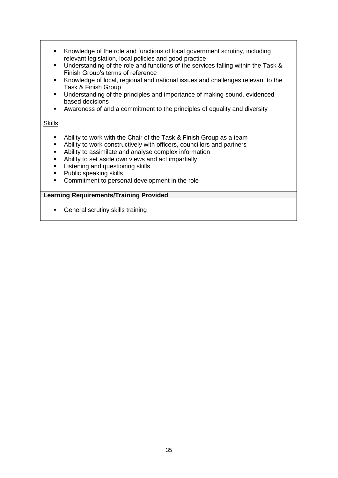- Knowledge of the role and functions of local government scrutiny, including relevant legislation, local policies and good practice
- Understanding of the role and functions of the services falling within the Task & Finish Group's terms of reference
- Knowledge of local, regional and national issues and challenges relevant to the Task & Finish Group
- Understanding of the principles and importance of making sound, evidencedbased decisions
- Awareness of and a commitment to the principles of equality and diversity

# Skills

- **Ability to work with the Chair of the Task & Finish Group as a team**
- Ability to work constructively with officers, councillors and partners
- Ability to assimilate and analyse complex information
- Ability to set aside own views and act impartially
- **EXECUTE:** Listening and questioning skills
- Public speaking skills
- Commitment to personal development in the role

# **Learning Requirements/Training Provided**

**General scrutiny skills training**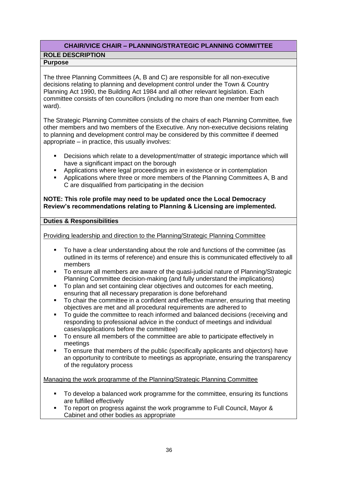## **CHAIR/VICE CHAIR – PLANNING/STRATEGIC PLANNING COMMITTEE ROLE DESCRIPTION Purpose**

The three Planning Committees (A, B and C) are responsible for all non-executive decisions relating to planning and development control under the Town & Country Planning Act 1990, the Building Act 1984 and all other relevant legislation. Each committee consists of ten councillors (including no more than one member from each ward).

The Strategic Planning Committee consists of the chairs of each Planning Committee, five other members and two members of the Executive. Any non-executive decisions relating to planning and development control may be considered by this committee if deemed appropriate – in practice, this usually involves:

- Decisions which relate to a development/matter of strategic importance which will have a significant impact on the borough
- Applications where legal proceedings are in existence or in contemplation
- Applications where three or more members of the Planning Committees A, B and C are disqualified from participating in the decision

## **NOTE: This role profile may need to be updated once the Local Democracy Review's recommendations relating to Planning & Licensing are implemented.**

## **Duties & Responsibilities**

Providing leadership and direction to the Planning/Strategic Planning Committee

- To have a clear understanding about the role and functions of the committee (as outlined in its terms of reference) and ensure this is communicated effectively to all members
- To ensure all members are aware of the quasi-judicial nature of Planning/Strategic Planning Committee decision-making (and fully understand the implications)
- To plan and set containing clear objectives and outcomes for each meeting, ensuring that all necessary preparation is done beforehand
- To chair the committee in a confident and effective manner, ensuring that meeting objectives are met and all procedural requirements are adhered to
- To guide the committee to reach informed and balanced decisions (receiving and responding to professional advice in the conduct of meetings and individual cases/applications before the committee)
- To ensure all members of the committee are able to participate effectively in meetings
- To ensure that members of the public (specifically applicants and objectors) have an opportunity to contribute to meetings as appropriate, ensuring the transparency of the regulatory process

Managing the work programme of the Planning/Strategic Planning Committee

- To develop a balanced work programme for the committee, ensuring its functions are fulfilled effectively
- To report on progress against the work programme to Full Council, Mayor & Cabinet and other bodies as appropriate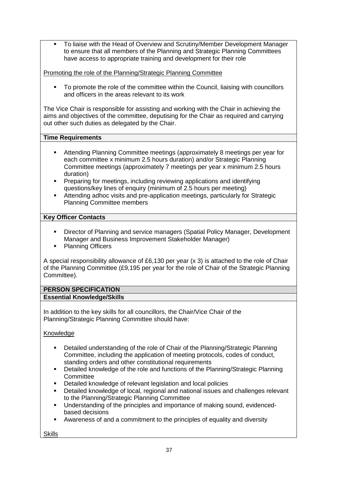To liaise with the Head of Overview and Scrutiny/Member Development Manager to ensure that all members of the Planning and Strategic Planning Committees have access to appropriate training and development for their role

Promoting the role of the Planning/Strategic Planning Committee

 To promote the role of the committee within the Council, liaising with councillors and officers in the areas relevant to its work

The Vice Chair is responsible for assisting and working with the Chair in achieving the aims and objectives of the committee, deputising for the Chair as required and carrying out other such duties as delegated by the Chair.

## **Time Requirements**

- Attending Planning Committee meetings (approximately 8 meetings per year for each committee x minimum 2.5 hours duration) and/or Strategic Planning Committee meetings (approximately 7 meetings per year x minimum 2.5 hours duration)
- **Preparing for meetings, including reviewing applications and identifying** questions/key lines of enquiry (minimum of 2.5 hours per meeting)
- Attending adhoc visits and pre-application meetings, particularly for Strategic Planning Committee members

## **Key Officer Contacts**

- Director of Planning and service managers (Spatial Policy Manager, Development Manager and Business Improvement Stakeholder Manager)
- Planning Officers

A special responsibility allowance of £6,130 per year (x 3) is attached to the role of Chair of the Planning Committee (£9,195 per year for the role of Chair of the Strategic Planning Committee).

**PERSON SPECIFICATION Essential Knowledge/Skills**

In addition to the key skills for all councillors, the Chair/Vice Chair of the Planning/Strategic Planning Committee should have:

## Knowledge

- Detailed understanding of the role of Chair of the Planning/Strategic Planning Committee, including the application of meeting protocols, codes of conduct, standing orders and other constitutional requirements
- **•** Detailed knowledge of the role and functions of the Planning/Strategic Planning **Committee**
- Detailed knowledge of relevant legislation and local policies
- Detailed knowledge of local, regional and national issues and challenges relevant to the Planning/Strategic Planning Committee
- Understanding of the principles and importance of making sound, evidencedbased decisions
- Awareness of and a commitment to the principles of equality and diversity

Skills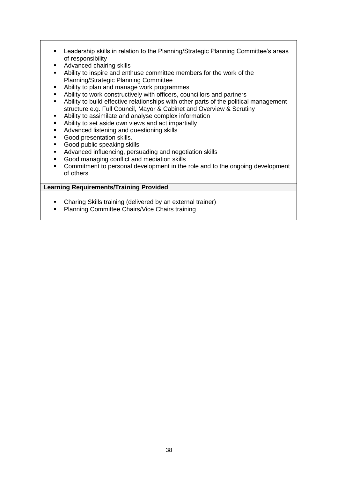- **EXT** Leadership skills in relation to the Planning/Strategic Planning Committee's areas of responsibility
- Advanced chairing skills
- Ability to inspire and enthuse committee members for the work of the Planning/Strategic Planning Committee
- Ability to plan and manage work programmes
- Ability to work constructively with officers, councillors and partners
- Ability to build effective relationships with other parts of the political management structure e.g. Full Council, Mayor & Cabinet and Overview & Scrutiny
- Ability to assimilate and analyse complex information
- Ability to set aside own views and act impartially
- **Advanced listening and questioning skills**
- **Good presentation skills.**
- **Good public speaking skills**
- Advanced influencing, persuading and negotiation skills
- Good managing conflict and mediation skills
- **Commitment to personal development in the role and to the ongoing development** of others

## **Learning Requirements/Training Provided**

- Charing Skills training (delivered by an external trainer)
- **Planning Committee Chairs/Vice Chairs training**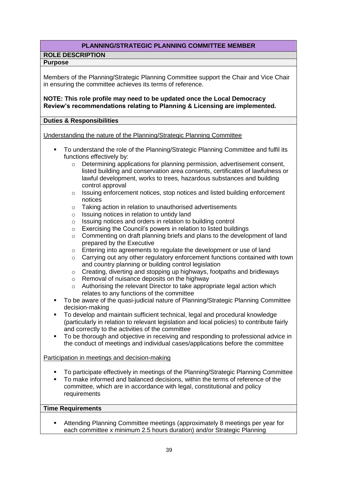## **PLANNING/STRATEGIC PLANNING COMMITTEE MEMBER**

## **ROLE DESCRIPTION**

## **Purpose**

Members of the Planning/Strategic Planning Committee support the Chair and Vice Chair in ensuring the committee achieves its terms of reference.

## **NOTE: This role profile may need to be updated once the Local Democracy Review's recommendations relating to Planning & Licensing are implemented.**

## **Duties & Responsibilities**

Understanding the nature of the Planning/Strategic Planning Committee

- To understand the role of the Planning/Strategic Planning Committee and fulfil its functions effectively by:
	- $\circ$  Determining applications for planning permission, advertisement consent, listed building and conservation area consents, certificates of lawfulness or lawful development, works to trees, hazardous substances and building control approval
	- $\circ$  Issuing enforcement notices, stop notices and listed building enforcement notices
	- o Taking action in relation to unauthorised advertisements
	- o Issuing notices in relation to untidy land
	- o Issuing notices and orders in relation to building control
	- o Exercising the Council's powers in relation to listed buildings
	- $\circ$  Commenting on draft planning briefs and plans to the development of land prepared by the Executive
	- o Entering into agreements to regulate the development or use of land
	- o Carrying out any other regulatory enforcement functions contained with town and country planning or building control legislation
	- o Creating, diverting and stopping up highways, footpaths and bridleways
	- $\circ$  Removal of nuisance deposits on the highway
	- o Authorising the relevant Director to take appropriate legal action which relates to any functions of the committee
- To be aware of the quasi-judicial nature of Planning/Strategic Planning Committee decision-making
- To develop and maintain sufficient technical, legal and procedural knowledge (particularly in relation to relevant legislation and local policies) to contribute fairly and correctly to the activities of the committee
- To be thorough and objective in receiving and responding to professional advice in the conduct of meetings and individual cases/applications before the committee

## Participation in meetings and decision-making

- To participate effectively in meetings of the Planning/Strategic Planning Committee
- To make informed and balanced decisions, within the terms of reference of the committee, which are in accordance with legal, constitutional and policy requirements

## **Time Requirements**

 Attending Planning Committee meetings (approximately 8 meetings per year for each committee x minimum 2.5 hours duration) and/or Strategic Planning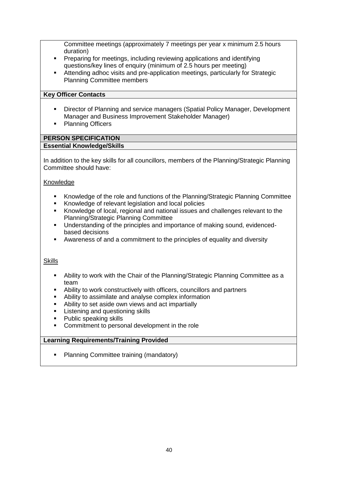Committee meetings (approximately 7 meetings per year x minimum 2.5 hours duration)

- Preparing for meetings, including reviewing applications and identifying questions/key lines of enquiry (minimum of 2.5 hours per meeting)
- Attending adhoc visits and pre-application meetings, particularly for Strategic Planning Committee members

## **Key Officer Contacts**

- Director of Planning and service managers (Spatial Policy Manager, Development Manager and Business Improvement Stakeholder Manager)
- Planning Officers

#### **PERSON SPECIFICATION Essential Knowledge/Skills**

In addition to the key skills for all councillors, members of the Planning/Strategic Planning Committee should have:

## Knowledge

- Knowledge of the role and functions of the Planning/Strategic Planning Committee
- Knowledge of relevant legislation and local policies
- Knowledge of local, regional and national issues and challenges relevant to the Planning/Strategic Planning Committee
- Understanding of the principles and importance of making sound, evidencedbased decisions
- Awareness of and a commitment to the principles of equality and diversity

## Skills

- Ability to work with the Chair of the Planning/Strategic Planning Committee as a team
- Ability to work constructively with officers, councillors and partners
- Ability to assimilate and analyse complex information
- Ability to set aside own views and act impartially
- Listening and questioning skills
- Public speaking skills
- **Commitment to personal development in the role**

## **Learning Requirements/Training Provided**

**Planning Committee training (mandatory)**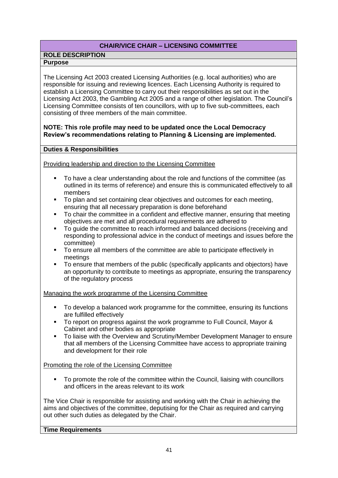## **CHAIR/VICE CHAIR – LICENSING COMMITTEE**

#### **ROLE DESCRIPTION Purpose**

The Licensing Act 2003 created Licensing Authorities (e.g. local authorities) who are responsible for issuing and reviewing licences. Each Licensing Authority is required to establish a Licensing Committee to carry out their responsibilities as set out in the Licensing Act 2003, the Gambling Act 2005 and a range of other legislation. The Council's Licensing Committee consists of ten councillors, with up to five sub-committees, each consisting of three members of the main committee.

## **NOTE: This role profile may need to be updated once the Local Democracy Review's recommendations relating to Planning & Licensing are implemented.**

## **Duties & Responsibilities**

Providing leadership and direction to the Licensing Committee

- To have a clear understanding about the role and functions of the committee (as outlined in its terms of reference) and ensure this is communicated effectively to all members
- To plan and set containing clear objectives and outcomes for each meeting, ensuring that all necessary preparation is done beforehand
- To chair the committee in a confident and effective manner, ensuring that meeting objectives are met and all procedural requirements are adhered to
- To guide the committee to reach informed and balanced decisions (receiving and responding to professional advice in the conduct of meetings and issues before the committee)
- To ensure all members of the committee are able to participate effectively in meetings
- To ensure that members of the public (specifically applicants and objectors) have an opportunity to contribute to meetings as appropriate, ensuring the transparency of the regulatory process

Managing the work programme of the Licensing Committee

- To develop a balanced work programme for the committee, ensuring its functions are fulfilled effectively
- To report on progress against the work programme to Full Council, Mayor & Cabinet and other bodies as appropriate
- To liaise with the Overview and Scrutiny/Member Development Manager to ensure that all members of the Licensing Committee have access to appropriate training and development for their role

Promoting the role of the Licensing Committee

 To promote the role of the committee within the Council, liaising with councillors and officers in the areas relevant to its work

The Vice Chair is responsible for assisting and working with the Chair in achieving the aims and objectives of the committee, deputising for the Chair as required and carrying out other such duties as delegated by the Chair.

#### **Time Requirements**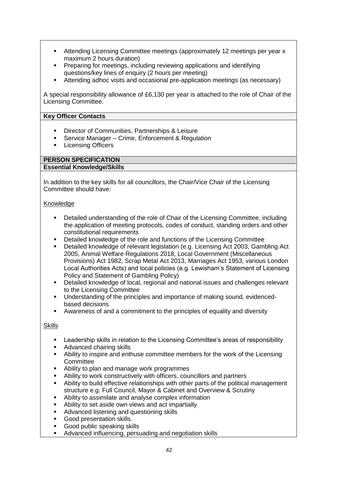- **Attending Licensing Committee meetings (approximately 12 meetings per year x** maximum 2 hours duration)
- Preparing for meetings, including reviewing applications and identifying questions/key lines of enquiry (2 hours per meeting)
- Attending adhoc visits and occasional pre-application meetings (as necessary)

A special responsibility allowance of £6,130 per year is attached to the role of Chair of the Licensing Committee.

## **Key Officer Contacts**

- Director of Communities, Partnerships & Leisure
- **Service Manager Crime, Enforcement & Regulation**
- Licensing Officers

#### **PERSON SPECIFICATION Essential Knowledge/Skills**

In addition to the key skills for all councillors, the Chair/Vice Chair of the Licensing Committee should have:

## Knowledge

- Detailed understanding of the role of Chair of the Licensing Committee, including the application of meeting protocols, codes of conduct, standing orders and other constitutional requirements
- Detailed knowledge of the role and functions of the Licensing Committee
- Detailed knowledge of relevant legislation (e.g. Licensing Act 2003, Gambling Act 2005, Animal Welfare Regulations 2018, Local Government (Miscellaneous Provisions) Act 1982, Scrap Metal Act 2013, Marriages Act 1953, various London Local Authorities Acts) and local policies (e.g. Lewisham's Statement of Licensing Policy and Statement of Gambling Policy)
- Detailed knowledge of local, regional and national issues and challenges relevant to the Licensing Committee
- Understanding of the principles and importance of making sound, evidencedbased decisions
- Awareness of and a commitment to the principles of equality and diversity

## **Skills**

- Leadership skills in relation to the Licensing Committee's areas of responsibility
- Advanced chairing skills
- Ability to inspire and enthuse committee members for the work of the Licensing **Committee**
- Ability to plan and manage work programmes
- Ability to work constructively with officers, councillors and partners
- Ability to build effective relationships with other parts of the political management structure e.g. Full Council, Mayor & Cabinet and Overview & Scrutiny
- Ability to assimilate and analyse complex information
- Ability to set aside own views and act impartially
- Advanced listening and questioning skills
- Good presentation skills.
- Good public speaking skills
- Advanced influencing, persuading and negotiation skills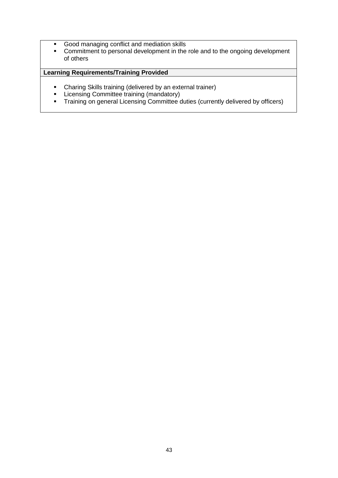- Good managing conflict and mediation skills
- **•** Commitment to personal development in the role and to the ongoing development of others

# **Learning Requirements/Training Provided**

- Charing Skills training (delivered by an external trainer)
- **EXEC** Licensing Committee training (mandatory)
- Training on general Licensing Committee duties (currently delivered by officers)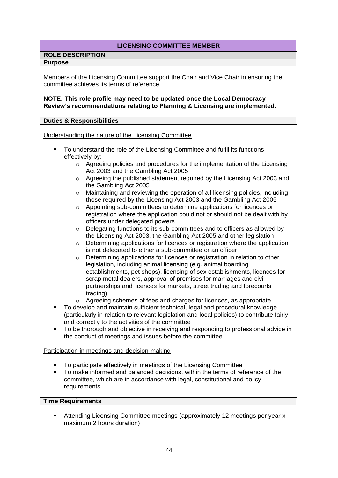## **LICENSING COMMITTEE MEMBER**

#### **ROLE DESCRIPTION Purpose**

Members of the Licensing Committee support the Chair and Vice Chair in ensuring the committee achieves its terms of reference.

## **NOTE: This role profile may need to be updated once the Local Democracy Review's recommendations relating to Planning & Licensing are implemented.**

## **Duties & Responsibilities**

Understanding the nature of the Licensing Committee

- To understand the role of the Licensing Committee and fulfil its functions effectively by:
	- $\circ$  Agreeing policies and procedures for the implementation of the Licensing Act 2003 and the Gambling Act 2005
	- $\circ$  Agreeing the published statement required by the Licensing Act 2003 and the Gambling Act 2005
	- $\circ$  Maintaining and reviewing the operation of all licensing policies, including those required by the Licensing Act 2003 and the Gambling Act 2005
	- o Appointing sub-committees to determine applications for licences or registration where the application could not or should not be dealt with by officers under delegated powers
	- o Delegating functions to its sub-committees and to officers as allowed by the Licensing Act 2003, the Gambling Act 2005 and other legislation
	- $\circ$  Determining applications for licences or registration where the application is not delegated to either a sub-committee or an officer
	- o Determining applications for licences or registration in relation to other legislation, including animal licensing (e.g. animal boarding establishments, pet shops), licensing of sex establishments, licences for scrap metal dealers, approval of premises for marriages and civil partnerships and licences for markets, street trading and forecourts trading)
	- o Agreeing schemes of fees and charges for licences, as appropriate
- To develop and maintain sufficient technical, legal and procedural knowledge (particularly in relation to relevant legislation and local policies) to contribute fairly and correctly to the activities of the committee
- To be thorough and objective in receiving and responding to professional advice in the conduct of meetings and issues before the committee

## Participation in meetings and decision-making

- To participate effectively in meetings of the Licensing Committee
- To make informed and balanced decisions, within the terms of reference of the committee, which are in accordance with legal, constitutional and policy requirements

#### **Time Requirements**

 Attending Licensing Committee meetings (approximately 12 meetings per year x maximum 2 hours duration)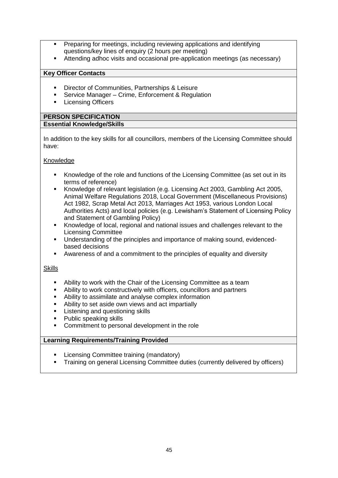- Preparing for meetings, including reviewing applications and identifying questions/key lines of enquiry (2 hours per meeting)
- Attending adhoc visits and occasional pre-application meetings (as necessary)

## **Key Officer Contacts**

- Director of Communities, Partnerships & Leisure
- Service Manager Crime, Enforcement & Regulation
- Licensing Officers

## **PERSON SPECIFICATION**

## **Essential Knowledge/Skills**

In addition to the key skills for all councillors, members of the Licensing Committee should have:

## Knowledge

- Knowledge of the role and functions of the Licensing Committee (as set out in its terms of reference)
- Knowledge of relevant legislation (e.g. Licensing Act 2003, Gambling Act 2005, Animal Welfare Regulations 2018, Local Government (Miscellaneous Provisions) Act 1982, Scrap Metal Act 2013, Marriages Act 1953, various London Local Authorities Acts) and local policies (e.g. Lewisham's Statement of Licensing Policy and Statement of Gambling Policy)
- Knowledge of local, regional and national issues and challenges relevant to the Licensing Committee
- Understanding of the principles and importance of making sound, evidencedbased decisions
- Awareness of and a commitment to the principles of equality and diversity

## Skills

- Ability to work with the Chair of the Licensing Committee as a team
- Ability to work constructively with officers, councillors and partners
- Ability to assimilate and analyse complex information
- Ability to set aside own views and act impartially
- Listening and questioning skills
- Public speaking skills
- Commitment to personal development in the role

## **Learning Requirements/Training Provided**

- **EXEC** Licensing Committee training (mandatory)
- **Training on general Licensing Committee duties (currently delivered by officers)**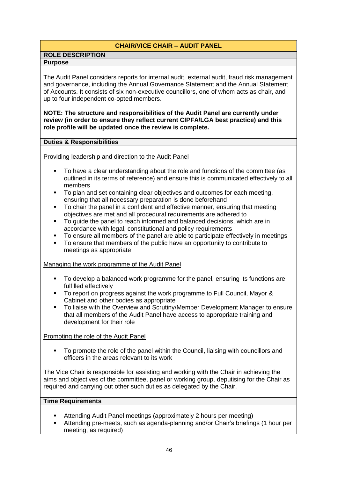## **CHAIR/VICE CHAIR – AUDIT PANEL**

#### **ROLE DESCRIPTION Purpose**

The Audit Panel considers reports for internal audit, external audit, fraud risk management and governance, including the Annual Governance Statement and the Annual Statement of Accounts. It consists of six non-executive councillors, one of whom acts as chair, and up to four independent co-opted members.

**NOTE: The structure and responsibilities of the Audit Panel are currently under review (in order to ensure they reflect current CIPFA/LGA best practice) and this role profile will be updated once the review is complete.**

#### **Duties & Responsibilities**

Providing leadership and direction to the Audit Panel

- To have a clear understanding about the role and functions of the committee (as outlined in its terms of reference) and ensure this is communicated effectively to all members
- To plan and set containing clear objectives and outcomes for each meeting, ensuring that all necessary preparation is done beforehand
- To chair the panel in a confident and effective manner, ensuring that meeting objectives are met and all procedural requirements are adhered to
- To guide the panel to reach informed and balanced decisions, which are in accordance with legal, constitutional and policy requirements
- To ensure all members of the panel are able to participate effectively in meetings
- To ensure that members of the public have an opportunity to contribute to meetings as appropriate

#### Managing the work programme of the Audit Panel

- To develop a balanced work programme for the panel, ensuring its functions are fulfilled effectively
- To report on progress against the work programme to Full Council, Mayor & Cabinet and other bodies as appropriate
- To liaise with the Overview and Scrutiny/Member Development Manager to ensure that all members of the Audit Panel have access to appropriate training and development for their role

## Promoting the role of the Audit Panel

 To promote the role of the panel within the Council, liaising with councillors and officers in the areas relevant to its work

The Vice Chair is responsible for assisting and working with the Chair in achieving the aims and objectives of the committee, panel or working group, deputising for the Chair as required and carrying out other such duties as delegated by the Chair.

#### **Time Requirements**

- Attending Audit Panel meetings (approximately 2 hours per meeting)
- Attending pre-meets, such as agenda-planning and/or Chair's briefings (1 hour per meeting, as required)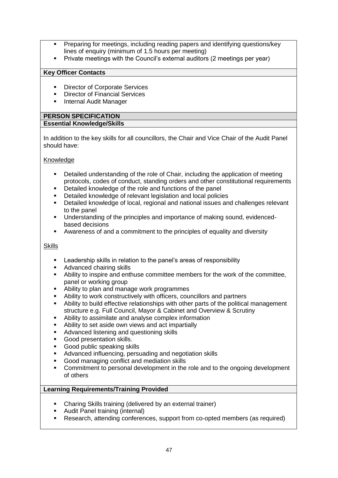- Preparing for meetings, including reading papers and identifying questions/key lines of enquiry (minimum of 1.5 hours per meeting)
- Private meetings with the Council's external auditors (2 meetings per year)

## **Key Officer Contacts**

- Director of Corporate Services
- Director of Financial Services
- Internal Audit Manager

## **PERSON SPECIFICATION**

## **Essential Knowledge/Skills**

In addition to the key skills for all councillors, the Chair and Vice Chair of the Audit Panel should have:

## Knowledge

- **•** Detailed understanding of the role of Chair, including the application of meeting protocols, codes of conduct, standing orders and other constitutional requirements
- Detailed knowledge of the role and functions of the panel
- **•** Detailed knowledge of relevant legislation and local policies
- Detailed knowledge of local, regional and national issues and challenges relevant to the panel
- Understanding of the principles and importance of making sound, evidencedbased decisions
- Awareness of and a commitment to the principles of equality and diversity

## Skills

- **EXEC** Leadership skills in relation to the panel's areas of responsibility
- Advanced chairing skills
- Ability to inspire and enthuse committee members for the work of the committee, panel or working group
- Ability to plan and manage work programmes
- Ability to work constructively with officers, councillors and partners
- Ability to build effective relationships with other parts of the political management structure e.g. Full Council, Mayor & Cabinet and Overview & Scrutiny
- Ability to assimilate and analyse complex information
- Ability to set aside own views and act impartially
- Advanced listening and questioning skills
- **Good presentation skills.**
- **Good public speaking skills**
- Advanced influencing, persuading and negotiation skills
- Good managing conflict and mediation skills
- Commitment to personal development in the role and to the ongoing development of others

## **Learning Requirements/Training Provided**

- Charing Skills training (delivered by an external trainer)
- Audit Panel training (internal)
- Research, attending conferences, support from co-opted members (as required)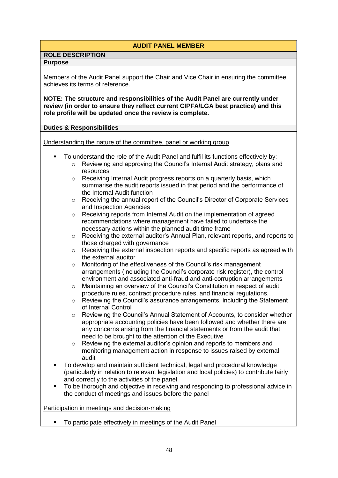## **AUDIT PANEL MEMBER**

## **ROLE DESCRIPTION Purpose**

Members of the Audit Panel support the Chair and Vice Chair in ensuring the committee achieves its terms of reference.

**NOTE: The structure and responsibilities of the Audit Panel are currently under review (in order to ensure they reflect current CIPFA/LGA best practice) and this role profile will be updated once the review is complete.**

## **Duties & Responsibilities**

Understanding the nature of the committee, panel or working group

- To understand the role of the Audit Panel and fulfil its functions effectively by:
	- o Reviewing and approving the Council's Internal Audit strategy, plans and resources
		- $\circ$  Receiving Internal Audit progress reports on a quarterly basis, which summarise the audit reports issued in that period and the performance of the Internal Audit function
		- $\circ$  Receiving the annual report of the Council's Director of Corporate Services and Inspection Agencies
	- o Receiving reports from Internal Audit on the implementation of agreed recommendations where management have failed to undertake the necessary actions within the planned audit time frame
	- $\circ$  Receiving the external auditor's Annual Plan, relevant reports, and reports to those charged with governance
	- $\circ$  Receiving the external inspection reports and specific reports as agreed with the external auditor
	- o Monitoring of the effectiveness of the Council's risk management arrangements (including the Council's corporate risk register), the control environment and associated anti-fraud and anti-corruption arrangements
	- o Maintaining an overview of the Council's Constitution in respect of audit procedure rules, contract procedure rules, and financial regulations.
	- $\circ$  Reviewing the Council's assurance arrangements, including the Statement of Internal Control
	- $\circ$  Reviewing the Council's Annual Statement of Accounts, to consider whether appropriate accounting policies have been followed and whether there are any concerns arising from the financial statements or from the audit that need to be brought to the attention of the Executive
	- o Reviewing the external auditor's opinion and reports to members and monitoring management action in response to issues raised by external audit
- To develop and maintain sufficient technical, legal and procedural knowledge (particularly in relation to relevant legislation and local policies) to contribute fairly and correctly to the activities of the panel
- To be thorough and objective in receiving and responding to professional advice in the conduct of meetings and issues before the panel

Participation in meetings and decision-making

**To participate effectively in meetings of the Audit Panel**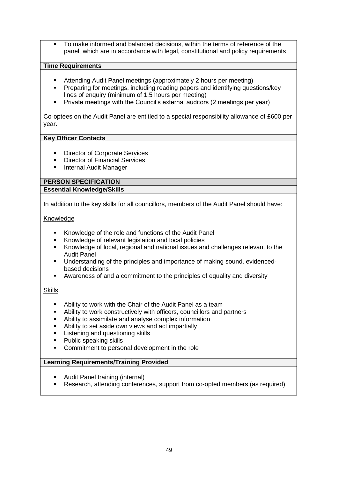To make informed and balanced decisions, within the terms of reference of the panel, which are in accordance with legal, constitutional and policy requirements

## **Time Requirements**

- Attending Audit Panel meetings (approximately 2 hours per meeting)
- Preparing for meetings, including reading papers and identifying questions/key lines of enquiry (minimum of 1.5 hours per meeting)
- Private meetings with the Council's external auditors (2 meetings per year)

Co-optees on the Audit Panel are entitled to a special responsibility allowance of £600 per year.

## **Key Officer Contacts**

- **Director of Corporate Services**<br>Director of Financial Services
- Director of Financial Services
- **Internal Audit Manager**

#### **PERSON SPECIFICATION Essential Knowledge/Skills**

In addition to the key skills for all councillors, members of the Audit Panel should have:

## Knowledge

- Knowledge of the role and functions of the Audit Panel
- Knowledge of relevant legislation and local policies
- Knowledge of local, regional and national issues and challenges relevant to the Audit Panel
- Understanding of the principles and importance of making sound, evidencedbased decisions
- Awareness of and a commitment to the principles of equality and diversity

## Skills

- Ability to work with the Chair of the Audit Panel as a team
- Ability to work constructively with officers, councillors and partners
- Ability to assimilate and analyse complex information
- Ability to set aside own views and act impartially
- Listening and questioning skills
- Public speaking skills
- **Commitment to personal development in the role**

## **Learning Requirements/Training Provided**

- Audit Panel training (internal)
- Research, attending conferences, support from co-opted members (as required)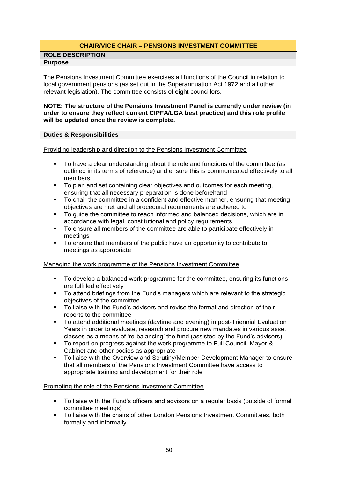## **CHAIR/VICE CHAIR – PENSIONS INVESTMENT COMMITTEE**

## **ROLE DESCRIPTION**

## **Purpose**

The Pensions Investment Committee exercises all functions of the Council in relation to local government pensions (as set out in the Superannuation Act 1972 and all other relevant legislation). The committee consists of eight councillors.

#### **NOTE: The structure of the Pensions Investment Panel is currently under review (in order to ensure they reflect current CIPFA/LGA best practice) and this role profile will be updated once the review is complete.**

## **Duties & Responsibilities**

Providing leadership and direction to the Pensions Investment Committee

- To have a clear understanding about the role and functions of the committee (as outlined in its terms of reference) and ensure this is communicated effectively to all members
- To plan and set containing clear objectives and outcomes for each meeting, ensuring that all necessary preparation is done beforehand
- To chair the committee in a confident and effective manner, ensuring that meeting objectives are met and all procedural requirements are adhered to
- To guide the committee to reach informed and balanced decisions, which are in accordance with legal, constitutional and policy requirements
- To ensure all members of the committee are able to participate effectively in meetings
- To ensure that members of the public have an opportunity to contribute to meetings as appropriate

## Managing the work programme of the Pensions Investment Committee

- To develop a balanced work programme for the committee, ensuring its functions are fulfilled effectively
- To attend briefings from the Fund's managers which are relevant to the strategic objectives of the committee
- To liaise with the Fund's advisors and revise the format and direction of their reports to the committee
- To attend additional meetings (daytime and evening) in post-Triennial Evaluation Years in order to evaluate, research and procure new mandates in various asset classes as a means of 're-balancing' the fund (assisted by the Fund's advisors)
- To report on progress against the work programme to Full Council, Mayor & Cabinet and other bodies as appropriate
- To liaise with the Overview and Scrutiny/Member Development Manager to ensure that all members of the Pensions Investment Committee have access to appropriate training and development for their role

Promoting the role of the Pensions Investment Committee

- To liaise with the Fund's officers and advisors on a regular basis (outside of formal committee meetings)
- To liaise with the chairs of other London Pensions Investment Committees, both formally and informally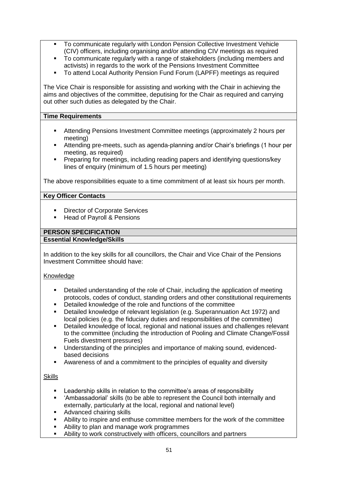- To communicate regularly with London Pension Collective Investment Vehicle (CIV) officers, including organising and/or attending CIV meetings as required
- To communicate regularly with a range of stakeholders (including members and activists) in regards to the work of the Pensions Investment Committee
- To attend Local Authority Pension Fund Forum (LAPFF) meetings as required

The Vice Chair is responsible for assisting and working with the Chair in achieving the aims and objectives of the committee, deputising for the Chair as required and carrying out other such duties as delegated by the Chair.

## **Time Requirements**

- Attending Pensions Investment Committee meetings (approximately 2 hours per meeting)
- Attending pre-meets, such as agenda-planning and/or Chair's briefings (1 hour per meeting, as required)
- Preparing for meetings, including reading papers and identifying questions/key lines of enquiry (minimum of 1.5 hours per meeting)

The above responsibilities equate to a time commitment of at least six hours per month.

## **Key Officer Contacts**

- Director of Corporate Services
- Head of Payroll & Pensions

## **PERSON SPECIFICATION**

## **Essential Knowledge/Skills**

In addition to the key skills for all councillors, the Chair and Vice Chair of the Pensions Investment Committee should have:

## Knowledge

- Detailed understanding of the role of Chair, including the application of meeting protocols, codes of conduct, standing orders and other constitutional requirements
- **Detailed knowledge of the role and functions of the committee**
- Detailed knowledge of relevant legislation (e.g. Superannuation Act 1972) and local policies (e.g. the fiduciary duties and responsibilities of the committee)
- Detailed knowledge of local, regional and national issues and challenges relevant to the committee (including the introduction of Pooling and Climate Change/Fossil Fuels divestment pressures)
- Understanding of the principles and importance of making sound, evidencedbased decisions
- Awareness of and a commitment to the principles of equality and diversity

## Skills

- Leadership skills in relation to the committee's areas of responsibility
- 'Ambassadorial' skills (to be able to represent the Council both internally and externally, particularly at the local, regional and national level)
- Advanced chairing skills
- Ability to inspire and enthuse committee members for the work of the committee
- Ability to plan and manage work programmes
- Ability to work constructively with officers, councillors and partners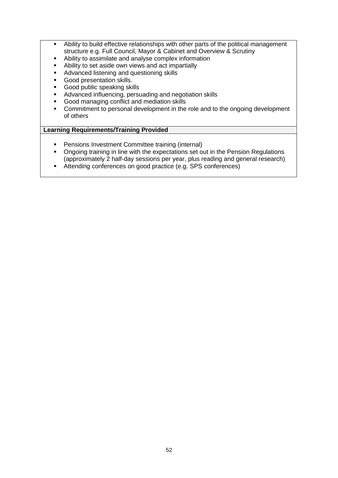- Ability to build effective relationships with other parts of the political management structure e.g. Full Council, Mayor & Cabinet and Overview & Scrutiny
- Ability to assimilate and analyse complex information<br>• Ability to set aside own views and act impartially
- Ability to set aside own views and act impartially<br>• Advanced listening and questioning skills
- Advanced listening and questioning skills
- Good presentation skills.
- Good public speaking skills
- Advanced influencing, persuading and negotiation skills
- Good managing conflict and mediation skills
- **Commitment to personal development in the role and to the ongoing development** of others

## **Learning Requirements/Training Provided**

- **Pensions Investment Committee training (internal)**
- Ongoing training in line with the expectations set out in the Pension Regulations (approximately 2 half-day sessions per year, plus reading and general research)
- Attending conferences on good practice (e.g. SPS conferences)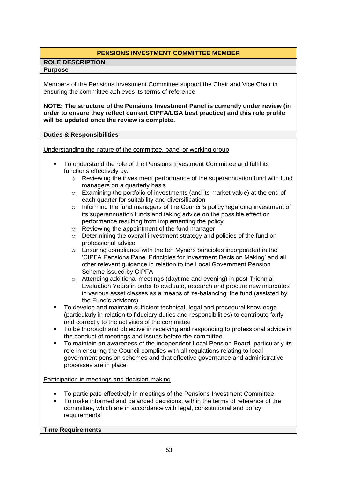## **PENSIONS INVESTMENT COMMITTEE MEMBER**

**ROLE DESCRIPTION**

#### **Purpose**

Members of the Pensions Investment Committee support the Chair and Vice Chair in ensuring the committee achieves its terms of reference.

**NOTE: The structure of the Pensions Investment Panel is currently under review (in order to ensure they reflect current CIPFA/LGA best practice) and this role profile will be updated once the review is complete.**

## **Duties & Responsibilities**

Understanding the nature of the committee, panel or working group

- To understand the role of the Pensions Investment Committee and fulfil its functions effectively by:
	- $\circ$  Reviewing the investment performance of the superannuation fund with fund managers on a quarterly basis
	- $\circ$  Examining the portfolio of investments (and its market value) at the end of each quarter for suitability and diversification
	- o Informing the fund managers of the Council's policy regarding investment of its superannuation funds and taking advice on the possible effect on performance resulting from implementing the policy
	- o Reviewing the appointment of the fund manager
	- o Determining the overall investment strategy and policies of the fund on professional advice
	- o Ensuring compliance with the ten Myners principles incorporated in the 'CIPFA Pensions Panel Principles for Investment Decision Making' and all other relevant guidance in relation to the Local Government Pension Scheme issued by CIPFA
	- o Attending additional meetings (daytime and evening) in post-Triennial Evaluation Years in order to evaluate, research and procure new mandates in various asset classes as a means of 're-balancing' the fund (assisted by the Fund's advisors)
- To develop and maintain sufficient technical, legal and procedural knowledge (particularly in relation to fiduciary duties and responsibilities) to contribute fairly and correctly to the activities of the committee
- To be thorough and objective in receiving and responding to professional advice in the conduct of meetings and issues before the committee
- To maintain an awareness of the independent Local Pension Board, particularly its role in ensuring the Council complies with all regulations relating to local government pension schemes and that effective governance and administrative processes are in place

Participation in meetings and decision-making

- To participate effectively in meetings of the Pensions Investment Committee
- To make informed and balanced decisions, within the terms of reference of the committee, which are in accordance with legal, constitutional and policy requirements

#### **Time Requirements**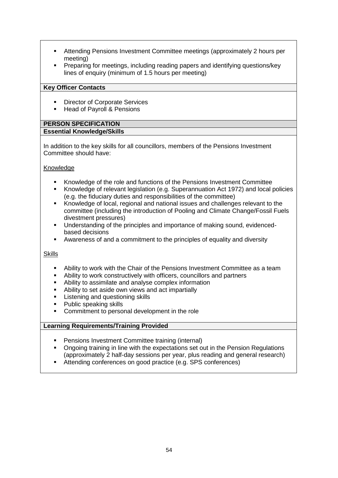- Attending Pensions Investment Committee meetings (approximately 2 hours per meeting)
- Preparing for meetings, including reading papers and identifying questions/key lines of enquiry (minimum of 1.5 hours per meeting)

#### **Key Officer Contacts**

- Director of Corporate Services
- **Head of Payroll & Pensions**

#### **PERSON SPECIFICATION Essential Knowledge/Skills**

In addition to the key skills for all councillors, members of the Pensions Investment Committee should have:

## Knowledge

- Knowledge of the role and functions of the Pensions Investment Committee
- Knowledge of relevant legislation (e.g. Superannuation Act 1972) and local policies (e.g. the fiduciary duties and responsibilities of the committee)
- Knowledge of local, regional and national issues and challenges relevant to the committee (including the introduction of Pooling and Climate Change/Fossil Fuels divestment pressures)
- Understanding of the principles and importance of making sound, evidencedbased decisions
- Awareness of and a commitment to the principles of equality and diversity

## Skills

- Ability to work with the Chair of the Pensions Investment Committee as a team
- Ability to work constructively with officers, councillors and partners
- Ability to assimilate and analyse complex information
- Ability to set aside own views and act impartially
- **EXECUTE:** Listening and questioning skills
- Public speaking skills
- Commitment to personal development in the role

#### **Learning Requirements/Training Provided**

- Pensions Investment Committee training (internal)
- Ongoing training in line with the expectations set out in the Pension Regulations (approximately 2 half-day sessions per year, plus reading and general research)
- Attending conferences on good practice (e.g. SPS conferences)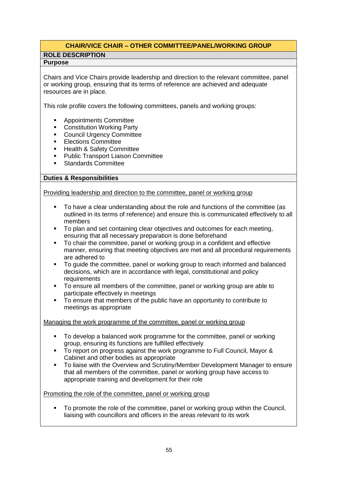## **CHAIR/VICE CHAIR – OTHER COMMITTEE/PANEL/WORKING GROUP ROLE DESCRIPTION**

# **Purpose**

Chairs and Vice Chairs provide leadership and direction to the relevant committee, panel or working group, ensuring that its terms of reference are achieved and adequate resources are in place.

This role profile covers the following committees, panels and working groups:

- **Appointments Committee**
- Constitution Working Party
- Council Urgency Committee
- Elections Committee
- Health & Safety Committee
- Public Transport Liaison Committee
- **Standards Committee**

## **Duties & Responsibilities**

Providing leadership and direction to the committee, panel or working group

- To have a clear understanding about the role and functions of the committee (as outlined in its terms of reference) and ensure this is communicated effectively to all members
- To plan and set containing clear objectives and outcomes for each meeting, ensuring that all necessary preparation is done beforehand
- To chair the committee, panel or working group in a confident and effective manner, ensuring that meeting objectives are met and all procedural requirements are adhered to
- To guide the committee, panel or working group to reach informed and balanced decisions, which are in accordance with legal, constitutional and policy requirements
- To ensure all members of the committee, panel or working group are able to participate effectively in meetings
- To ensure that members of the public have an opportunity to contribute to meetings as appropriate

Managing the work programme of the committee, panel or working group

- To develop a balanced work programme for the committee, panel or working group, ensuring its functions are fulfilled effectively
- To report on progress against the work programme to Full Council, Mayor & Cabinet and other bodies as appropriate
- To liaise with the Overview and Scrutiny/Member Development Manager to ensure that all members of the committee, panel or working group have access to appropriate training and development for their role

Promoting the role of the committee, panel or working group

 To promote the role of the committee, panel or working group within the Council, liaising with councillors and officers in the areas relevant to its work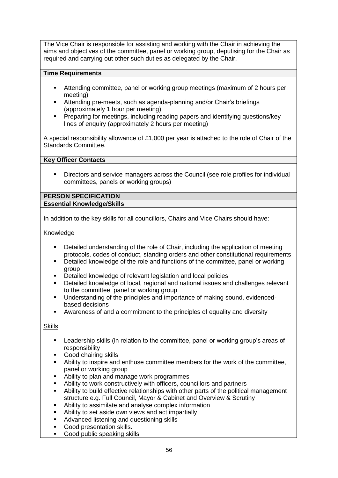The Vice Chair is responsible for assisting and working with the Chair in achieving the aims and objectives of the committee, panel or working group, deputising for the Chair as required and carrying out other such duties as delegated by the Chair.

## **Time Requirements**

- Attending committee, panel or working group meetings (maximum of 2 hours per meeting)
- Attending pre-meets, such as agenda-planning and/or Chair's briefings (approximately 1 hour per meeting)
- Preparing for meetings, including reading papers and identifying questions/key lines of enquiry (approximately 2 hours per meeting)

A special responsibility allowance of £1,000 per year is attached to the role of Chair of the Standards Committee.

## **Key Officer Contacts**

 Directors and service managers across the Council (see role profiles for individual committees, panels or working groups)

## **PERSON SPECIFICATION**

## **Essential Knowledge/Skills**

In addition to the key skills for all councillors, Chairs and Vice Chairs should have:

## Knowledge

- Detailed understanding of the role of Chair, including the application of meeting protocols, codes of conduct, standing orders and other constitutional requirements
- Detailed knowledge of the role and functions of the committee, panel or working group
- **•** Detailed knowledge of relevant legislation and local policies
- Detailed knowledge of local, regional and national issues and challenges relevant to the committee, panel or working group
- Understanding of the principles and importance of making sound, evidencedbased decisions
- Awareness of and a commitment to the principles of equality and diversity

## Skills

- Leadership skills (in relation to the committee, panel or working group's areas of responsibility
- **Good chairing skills**
- Ability to inspire and enthuse committee members for the work of the committee, panel or working group
- Ability to plan and manage work programmes
- Ability to work constructively with officers, councillors and partners
- Ability to build effective relationships with other parts of the political management structure e.g. Full Council, Mayor & Cabinet and Overview & Scrutiny
- Ability to assimilate and analyse complex information
- Ability to set aside own views and act impartially
- **Advanced listening and questioning skills**
- **Good presentation skills.**
- **Good public speaking skills**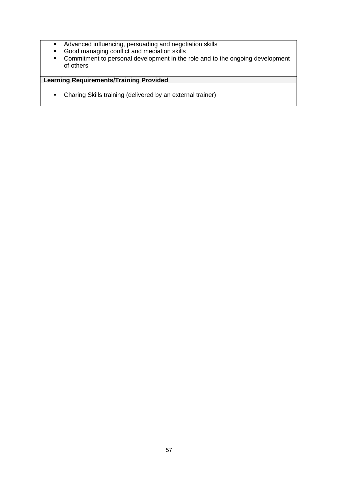- Advanced influencing, persuading and negotiation skills
- Good managing conflict and mediation skills
- Commitment to personal development in the role and to the ongoing development of others

# **Learning Requirements/Training Provided**

Charing Skills training (delivered by an external trainer)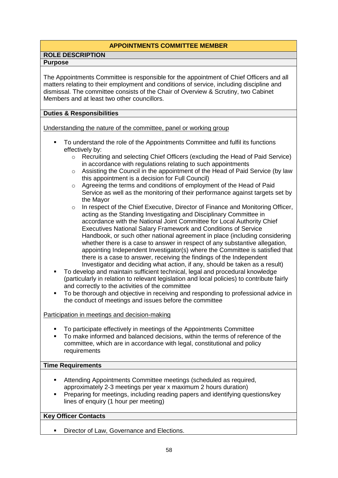## **APPOINTMENTS COMMITTEE MEMBER**

#### **ROLE DESCRIPTION Purpose**

The Appointments Committee is responsible for the appointment of Chief Officers and all matters relating to their employment and conditions of service, including discipline and dismissal. The committee consists of the Chair of Overview & Scrutiny, two Cabinet Members and at least two other councillors.

## **Duties & Responsibilities**

Understanding the nature of the committee, panel or working group

- To understand the role of the Appointments Committee and fulfil its functions effectively by:
	- o Recruiting and selecting Chief Officers (excluding the Head of Paid Service) in accordance with regulations relating to such appointments
	- o Assisting the Council in the appointment of the Head of Paid Service (by law this appointment is a decision for Full Council)
	- o Agreeing the terms and conditions of employment of the Head of Paid Service as well as the monitoring of their performance against targets set by the Mayor
	- $\circ$  In respect of the Chief Executive, Director of Finance and Monitoring Officer, acting as the Standing Investigating and Disciplinary Committee in accordance with the National Joint Committee for Local Authority Chief Executives National Salary Framework and Conditions of Service Handbook, or such other national agreement in place (including considering whether there is a case to answer in respect of any substantive allegation, appointing Independent Investigator(s) where the Committee is satisfied that there is a case to answer, receiving the findings of the Independent Investigator and deciding what action, if any, should be taken as a result)
- To develop and maintain sufficient technical, legal and procedural knowledge (particularly in relation to relevant legislation and local policies) to contribute fairly and correctly to the activities of the committee
- To be thorough and objective in receiving and responding to professional advice in the conduct of meetings and issues before the committee

## Participation in meetings and decision-making

- To participate effectively in meetings of the Appointments Committee
- To make informed and balanced decisions, within the terms of reference of the committee, which are in accordance with legal, constitutional and policy requirements

## **Time Requirements**

- Attending Appointments Committee meetings (scheduled as required, approximately 2-3 meetings per year x maximum 2 hours duration)
- Preparing for meetings, including reading papers and identifying questions/key lines of enquiry (1 hour per meeting)

## **Key Officer Contacts**

Director of Law, Governance and Elections.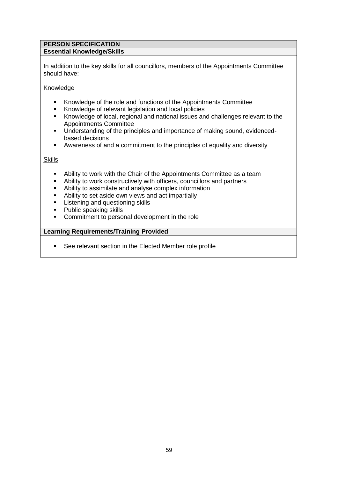#### **PERSON SPECIFICATION Essential Knowledge/Skills**

In addition to the key skills for all councillors, members of the Appointments Committee should have:

## Knowledge

- Knowledge of the role and functions of the Appointments Committee
- Knowledge of relevant legislation and local policies
- Knowledge of local, regional and national issues and challenges relevant to the Appointments Committee
- Understanding of the principles and importance of making sound, evidencedbased decisions
- Awareness of and a commitment to the principles of equality and diversity

## **Skills**

- Ability to work with the Chair of the Appointments Committee as a team
- Ability to work constructively with officers, councillors and partners
- Ability to assimilate and analyse complex information
- Ability to set aside own views and act impartially
- **EXECUTE:** Listening and questioning skills
- Public speaking skills
- Commitment to personal development in the role

## **Learning Requirements/Training Provided**

See relevant section in the Elected Member role profile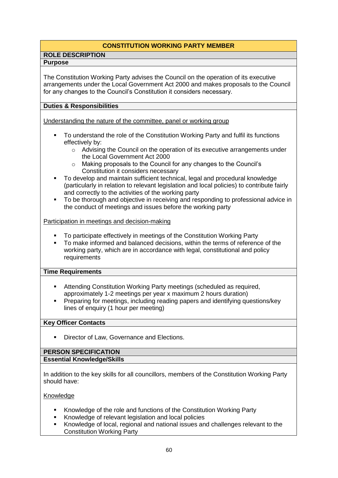## **CONSTITUTION WORKING PARTY MEMBER**

#### **ROLE DESCRIPTION Purpose**

The Constitution Working Party advises the Council on the operation of its executive arrangements under the Local Government Act 2000 and makes proposals to the Council for any changes to the Council's Constitution it considers necessary.

## **Duties & Responsibilities**

Understanding the nature of the committee, panel or working group

- To understand the role of the Constitution Working Party and fulfil its functions effectively by:
	- $\circ$  Advising the Council on the operation of its executive arrangements under the Local Government Act 2000
	- o Making proposals to the Council for any changes to the Council's Constitution it considers necessary
- To develop and maintain sufficient technical, legal and procedural knowledge (particularly in relation to relevant legislation and local policies) to contribute fairly and correctly to the activities of the working party
- To be thorough and objective in receiving and responding to professional advice in the conduct of meetings and issues before the working party

## Participation in meetings and decision-making

- To participate effectively in meetings of the Constitution Working Party
- To make informed and balanced decisions, within the terms of reference of the working party, which are in accordance with legal, constitutional and policy requirements

## **Time Requirements**

- Attending Constitution Working Party meetings (scheduled as required, approximately 1-2 meetings per year x maximum 2 hours duration)
- Preparing for meetings, including reading papers and identifying questions/key lines of enquiry (1 hour per meeting)

## **Key Officer Contacts**

**• Director of Law, Governance and Elections.** 

## **PERSON SPECIFICATION**

## **Essential Knowledge/Skills**

In addition to the key skills for all councillors, members of the Constitution Working Party should have:

## Knowledge

- Knowledge of the role and functions of the Constitution Working Party
- Knowledge of relevant legislation and local policies
- Knowledge of local, regional and national issues and challenges relevant to the Constitution Working Party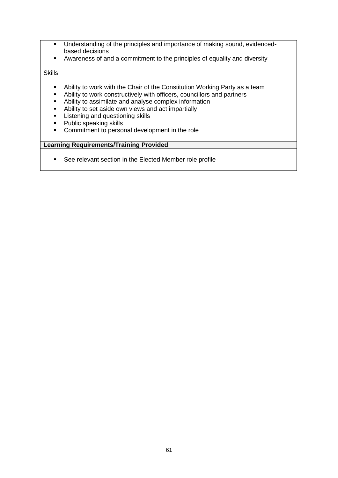- **Understanding of the principles and importance of making sound, evidenced**based decisions
- Awareness of and a commitment to the principles of equality and diversity

Skills

- Ability to work with the Chair of the Constitution Working Party as a team
- Ability to work constructively with officers, councillors and partners
- Ability to assimilate and analyse complex information<br>• Ability to set aside own views and act impartially
- Ability to set aside own views and act impartially
- **Listening and questioning skills**<br>**E** Public speaking skills
- Public speaking skills<br>• Commitment to perso
- Commitment to personal development in the role

## **Learning Requirements/Training Provided**

**See relevant section in the Elected Member role profile**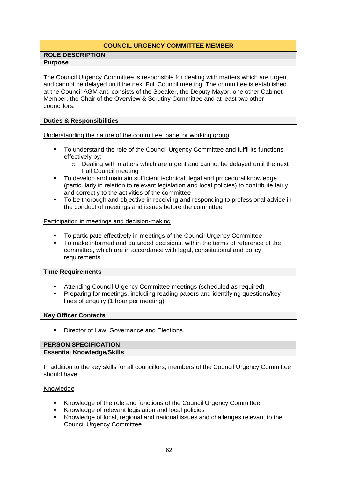## **COUNCIL URGENCY COMMITTEE MEMBER**

#### **ROLE DESCRIPTION Purpose**

The Council Urgency Committee is responsible for dealing with matters which are urgent and cannot be delayed until the next Full Council meeting. The committee is established at the Council AGM and consists of the Speaker, the Deputy Mayor, one other Cabinet Member, the Chair of the Overview & Scrutiny Committee and at least two other councillors.

#### **Duties & Responsibilities**

Understanding the nature of the committee, panel or working group

- To understand the role of the Council Urgency Committee and fulfil its functions effectively by:
	- $\circ$  Dealing with matters which are urgent and cannot be delayed until the next Full Council meeting
- To develop and maintain sufficient technical, legal and procedural knowledge (particularly in relation to relevant legislation and local policies) to contribute fairly and correctly to the activities of the committee
- To be thorough and objective in receiving and responding to professional advice in the conduct of meetings and issues before the committee

#### Participation in meetings and decision-making

- To participate effectively in meetings of the Council Urgency Committee
- To make informed and balanced decisions, within the terms of reference of the committee, which are in accordance with legal, constitutional and policy requirements

## **Time Requirements**

- Attending Council Urgency Committee meetings (scheduled as required)
- Preparing for meetings, including reading papers and identifying questions/key lines of enquiry (1 hour per meeting)

#### **Key Officer Contacts**

Director of Law, Governance and Elections.

#### **PERSON SPECIFICATION Essential Knowledge/Skills**

In addition to the key skills for all councillors, members of the Council Urgency Committee should have:

## Knowledge

- Knowledge of the role and functions of the Council Urgency Committee
- Knowledge of relevant legislation and local policies
- Knowledge of local, regional and national issues and challenges relevant to the Council Urgency Committee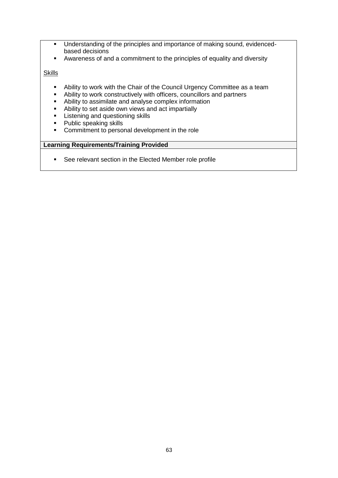- **Understanding of the principles and importance of making sound, evidenced**based decisions
- Awareness of and a commitment to the principles of equality and diversity

Skills

- Ability to work with the Chair of the Council Urgency Committee as a team
- Ability to work constructively with officers, councillors and partners
- Ability to assimilate and analyse complex information<br>• Ability to set aside own views and act impartially
- Ability to set aside own views and act impartially
- **Listening and questioning skills**<br>**E** Public speaking skills
- Public speaking skills<br>• Commitment to perso
- Commitment to personal development in the role

#### **Learning Requirements/Training Provided**

**See relevant section in the Elected Member role profile**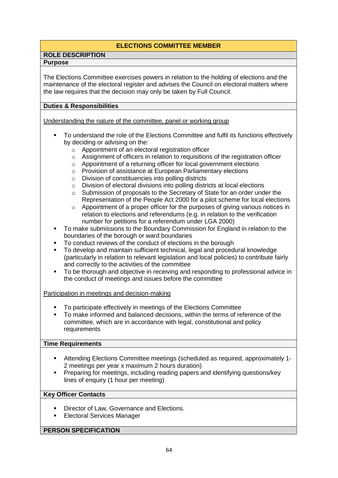## **ELECTIONS COMMITTEE MEMBER**

#### **ROLE DESCRIPTION Purpose**

The Elections Committee exercises powers in relation to the holding of elections and the maintenance of the electoral register and advises the Council on electoral matters where the law requires that the decision may only be taken by Full Council.

## **Duties & Responsibilities**

Understanding the nature of the committee, panel or working group

- To understand the role of the Elections Committee and fulfil its functions effectively by deciding or advising on the:
	- o Appointment of an electoral registration officer
	- o Assignment of officers in relation to requisitions of the registration officer
	- o Appointment of a returning officer for local government elections
	- o Provision of assistance at European Parliamentary elections
	- o Division of constituencies into polling districts
	- o Division of electoral divisions into polling districts at local elections
	- o Submission of proposals to the Secretary of State for an order under the Representation of the People Act 2000 for a pilot scheme for local elections
	- o Appointment of a proper officer for the purposes of giving various notices in relation to elections and referendums (e.g. in relation to the verification number for petitions for a referendum under LGA 2000)
- To make submissions to the Boundary Commission for England in relation to the boundaries of the borough or ward boundaries
- To conduct reviews of the conduct of elections in the borough
- To develop and maintain sufficient technical, legal and procedural knowledge (particularly in relation to relevant legislation and local policies) to contribute fairly and correctly to the activities of the committee
- To be thorough and objective in receiving and responding to professional advice in the conduct of meetings and issues before the committee

## Participation in meetings and decision-making

- To participate effectively in meetings of the Elections Committee
- To make informed and balanced decisions, within the terms of reference of the committee, which are in accordance with legal, constitutional and policy requirements

## **Time Requirements**

- Attending Elections Committee meetings (scheduled as required, approximately 1- 2 meetings per year x maximum 2 hours duration)
- Preparing for meetings, including reading papers and identifying questions/key lines of enquiry (1 hour per meeting)

## **Key Officer Contacts**

- Director of Law, Governance and Elections.
- **Electoral Services Manager**

**PERSON SPECIFICATION**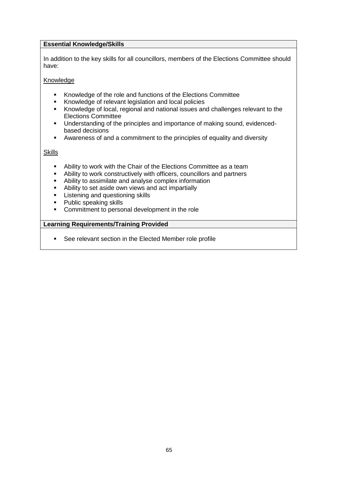## **Essential Knowledge/Skills**

In addition to the key skills for all councillors, members of the Elections Committee should have:

## Knowledge

- Knowledge of the role and functions of the Elections Committee
- Knowledge of relevant legislation and local policies<br>Knowledge of local, regional and national issues an
- Knowledge of local, regional and national issues and challenges relevant to the Elections Committee
- Understanding of the principles and importance of making sound, evidencedbased decisions
- Awareness of and a commitment to the principles of equality and diversity

Skills

- Ability to work with the Chair of the Elections Committee as a team
- Ability to work constructively with officers, councillors and partners
- Ability to assimilate and analyse complex information
- Ability to set aside own views and act impartially
- **EXEC** Listening and questioning skills
- Public speaking skills
- **Commitment to personal development in the role**

## **Learning Requirements/Training Provided**

**See relevant section in the Elected Member role profile**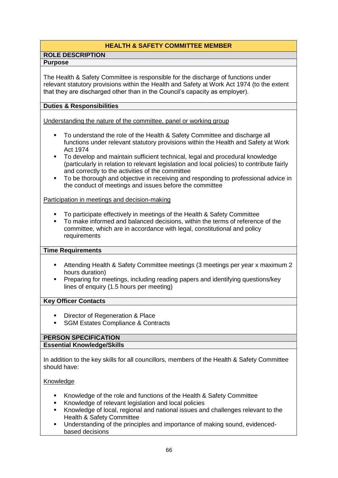## **HEALTH & SAFETY COMMITTEE MEMBER**

# **ROLE DESCRIPTION**

**Purpose**

The Health & Safety Committee is responsible for the discharge of functions under relevant statutory provisions within the Health and Safety at Work Act 1974 (to the extent that they are discharged other than in the Council's capacity as employer).

## **Duties & Responsibilities**

## Understanding the nature of the committee, panel or working group

- To understand the role of the Health & Safety Committee and discharge all functions under relevant statutory provisions within the Health and Safety at Work Act 1974
- To develop and maintain sufficient technical, legal and procedural knowledge (particularly in relation to relevant legislation and local policies) to contribute fairly and correctly to the activities of the committee
- To be thorough and objective in receiving and responding to professional advice in the conduct of meetings and issues before the committee

## Participation in meetings and decision-making

- To participate effectively in meetings of the Health & Safety Committee
- To make informed and balanced decisions, within the terms of reference of the committee, which are in accordance with legal, constitutional and policy requirements

## **Time Requirements**

- Attending Health & Safety Committee meetings (3 meetings per year x maximum 2 hours duration)
- Preparing for meetings, including reading papers and identifying questions/key lines of enquiry (1.5 hours per meeting)

## **Key Officer Contacts**

- Director of Regeneration & Place
- **SGM Estates Compliance & Contracts**

# **PERSON SPECIFICATION**

## **Essential Knowledge/Skills**

In addition to the key skills for all councillors, members of the Health & Safety Committee should have:

## **Knowledge**

- Knowledge of the role and functions of the Health & Safety Committee
- Knowledge of relevant legislation and local policies
- Knowledge of local, regional and national issues and challenges relevant to the Health & Safety Committee
- Understanding of the principles and importance of making sound, evidencedbased decisions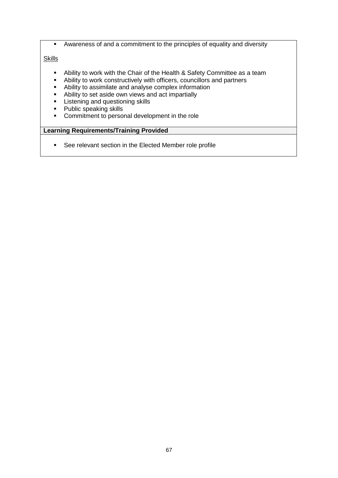Awareness of and a commitment to the principles of equality and diversity

## **Skills**

- Ability to work with the Chair of the Health & Safety Committee as a team<br>Ability to work constructively with officers, councillors and partners
- Ability to work constructively with officers, councillors and partners<br>Ability to assimilate and analyse complex information
- Ability to assimilate and analyse complex information
- Ability to set aside own views and act impartially
- **EXECUTE:** Listening and questioning skills
- **Public speaking skills**
- **•** Commitment to personal development in the role

# **Learning Requirements/Training Provided**

**See relevant section in the Elected Member role profile**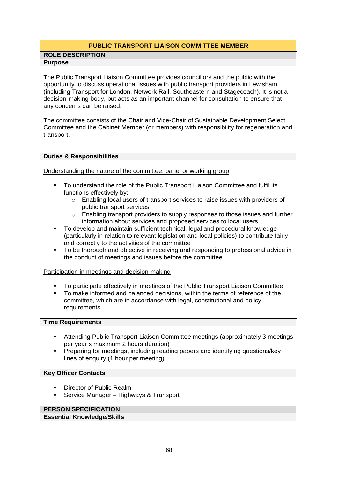## **PUBLIC TRANSPORT LIAISON COMMITTEE MEMBER**

# **ROLE DESCRIPTION**

## **Purpose**

The Public Transport Liaison Committee provides councillors and the public with the opportunity to discuss operational issues with public transport providers in Lewisham (including Transport for London, Network Rail, Southeastern and Stagecoach). It is not a decision-making body, but acts as an important channel for consultation to ensure that any concerns can be raised.

The committee consists of the Chair and Vice-Chair of Sustainable Development Select Committee and the Cabinet Member (or members) with responsibility for regeneration and transport.

## **Duties & Responsibilities**

Understanding the nature of the committee, panel or working group

- To understand the role of the Public Transport Liaison Committee and fulfil its functions effectively by:
	- o Enabling local users of transport services to raise issues with providers of public transport services
	- o Enabling transport providers to supply responses to those issues and further information about services and proposed services to local users
- To develop and maintain sufficient technical, legal and procedural knowledge (particularly in relation to relevant legislation and local policies) to contribute fairly and correctly to the activities of the committee
- To be thorough and objective in receiving and responding to professional advice in the conduct of meetings and issues before the committee

Participation in meetings and decision-making

- To participate effectively in meetings of the Public Transport Liaison Committee
- To make informed and balanced decisions, within the terms of reference of the committee, which are in accordance with legal, constitutional and policy requirements

## **Time Requirements**

- Attending Public Transport Liaison Committee meetings (approximately 3 meetings per year x maximum 2 hours duration)
- Preparing for meetings, including reading papers and identifying questions/key lines of enquiry (1 hour per meeting)

## **Key Officer Contacts**

- Director of Public Realm
- Service Manager Highways & Transport

## **PERSON SPECIFICATION**

**Essential Knowledge/Skills**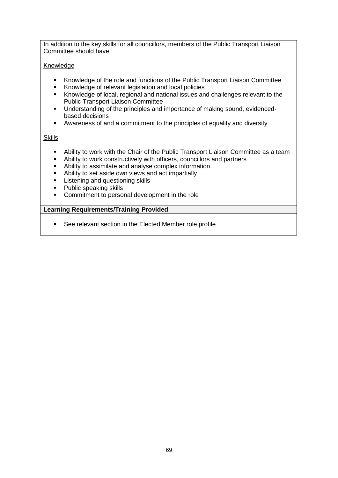In addition to the key skills for all councillors, members of the Public Transport Liaison Committee should have:

## Knowledge

- Knowledge of the role and functions of the Public Transport Liaison Committee
- Knowledge of relevant legislation and local policies
- Knowledge of local, regional and national issues and challenges relevant to the Public Transport Liaison Committee
- Understanding of the principles and importance of making sound, evidencedbased decisions
- Awareness of and a commitment to the principles of equality and diversity

## **Skills**

- Ability to work with the Chair of the Public Transport Liaison Committee as a team
- Ability to work constructively with officers, councillors and partners
- Ability to assimilate and analyse complex information
- Ability to set aside own views and act impartially
- **EXECUTE:** Listening and questioning skills
- Public speaking skills
- **Commitment to personal development in the role**

## **Learning Requirements/Training Provided**

See relevant section in the Elected Member role profile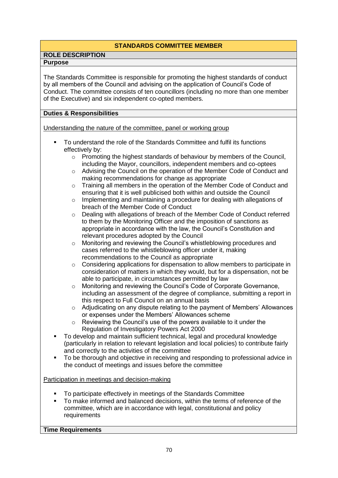## **STANDARDS COMMITTEE MEMBER**

#### **ROLE DESCRIPTION Purpose**

The Standards Committee is responsible for promoting the highest standards of conduct by all members of the Council and advising on the application of Council's Code of Conduct. The committee consists of ten councillors (including no more than one member of the Executive) and six independent co-opted members.

## **Duties & Responsibilities**

Understanding the nature of the committee, panel or working group

- To understand the role of the Standards Committee and fulfil its functions effectively by:
	- o Promoting the highest standards of behaviour by members of the Council, including the Mayor, councillors, independent members and co-optees
	- o Advising the Council on the operation of the Member Code of Conduct and making recommendations for change as appropriate
	- o Training all members in the operation of the Member Code of Conduct and ensuring that it is well publicised both within and outside the Council
	- o Implementing and maintaining a procedure for dealing with allegations of breach of the Member Code of Conduct
	- o Dealing with allegations of breach of the Member Code of Conduct referred to them by the Monitoring Officer and the imposition of sanctions as appropriate in accordance with the law, the Council's Constitution and relevant procedures adopted by the Council
	- o Monitoring and reviewing the Council's whistleblowing procedures and cases referred to the whistleblowing officer under it, making recommendations to the Council as appropriate
	- $\circ$  Considering applications for dispensation to allow members to participate in consideration of matters in which they would, but for a dispensation, not be able to participate, in circumstances permitted by law
	- o Monitoring and reviewing the Council's Code of Corporate Governance, including an assessment of the degree of compliance, submitting a report in this respect to Full Council on an annual basis
	- $\circ$  Adjudicating on any dispute relating to the payment of Members' Allowances or expenses under the Members' Allowances scheme
	- o Reviewing the Council's use of the powers available to it under the Regulation of Investigatory Powers Act 2000
- To develop and maintain sufficient technical, legal and procedural knowledge (particularly in relation to relevant legislation and local policies) to contribute fairly and correctly to the activities of the committee
- To be thorough and objective in receiving and responding to professional advice in the conduct of meetings and issues before the committee

## Participation in meetings and decision-making

- To participate effectively in meetings of the Standards Committee
- To make informed and balanced decisions, within the terms of reference of the committee, which are in accordance with legal, constitutional and policy requirements

## **Time Requirements**